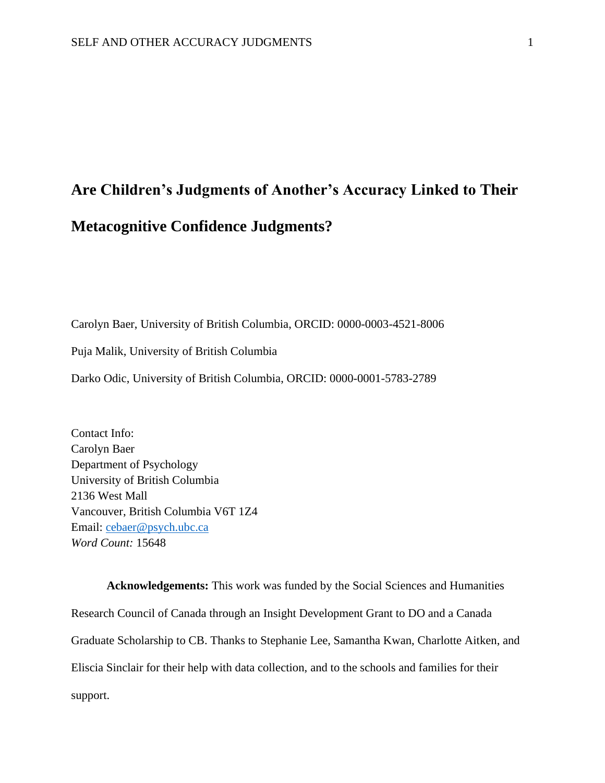# **Are Children's Judgments of Another's Accuracy Linked to Their Metacognitive Confidence Judgments?**

Carolyn Baer, University of British Columbia, ORCID: 0000-0003-4521-8006

Puja Malik, University of British Columbia

Darko Odic, University of British Columbia, ORCID: 0000-0001-5783-2789

Contact Info: Carolyn Baer Department of Psychology University of British Columbia 2136 West Mall Vancouver, British Columbia V6T 1Z4 Email: [cebaer@psych.ubc.ca](mailto:cbaer@psych.ubc.ca) *Word Count:* 15648

**Acknowledgements:** This work was funded by the Social Sciences and Humanities Research Council of Canada through an Insight Development Grant to DO and a Canada Graduate Scholarship to CB. Thanks to Stephanie Lee, Samantha Kwan, Charlotte Aitken, and Eliscia Sinclair for their help with data collection, and to the schools and families for their support.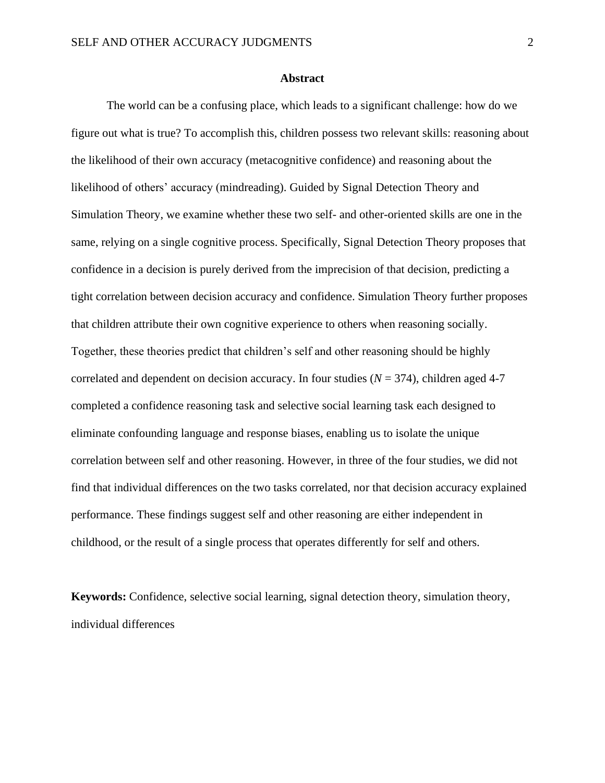#### **Abstract**

The world can be a confusing place, which leads to a significant challenge: how do we figure out what is true? To accomplish this, children possess two relevant skills: reasoning about the likelihood of their own accuracy (metacognitive confidence) and reasoning about the likelihood of others' accuracy (mindreading). Guided by Signal Detection Theory and Simulation Theory, we examine whether these two self- and other-oriented skills are one in the same, relying on a single cognitive process. Specifically, Signal Detection Theory proposes that confidence in a decision is purely derived from the imprecision of that decision, predicting a tight correlation between decision accuracy and confidence. Simulation Theory further proposes that children attribute their own cognitive experience to others when reasoning socially. Together, these theories predict that children's self and other reasoning should be highly correlated and dependent on decision accuracy. In four studies  $(N = 374)$ , children aged 4-7 completed a confidence reasoning task and selective social learning task each designed to eliminate confounding language and response biases, enabling us to isolate the unique correlation between self and other reasoning. However, in three of the four studies, we did not find that individual differences on the two tasks correlated, nor that decision accuracy explained performance. These findings suggest self and other reasoning are either independent in childhood, or the result of a single process that operates differently for self and others.

**Keywords:** Confidence, selective social learning, signal detection theory, simulation theory, individual differences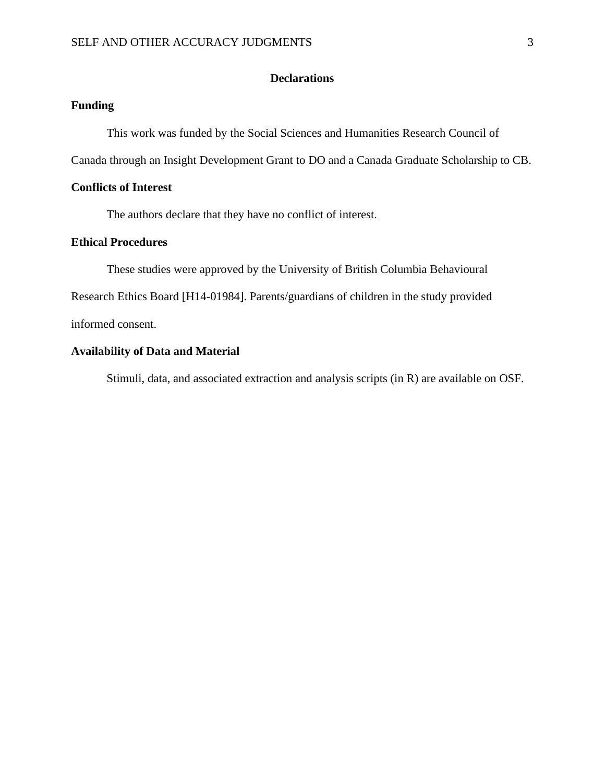# **Declarations**

# **Funding**

This work was funded by the Social Sciences and Humanities Research Council of

Canada through an Insight Development Grant to DO and a Canada Graduate Scholarship to CB.

# **Conflicts of Interest**

The authors declare that they have no conflict of interest.

# **Ethical Procedures**

These studies were approved by the University of British Columbia Behavioural

Research Ethics Board [H14-01984]. Parents/guardians of children in the study provided

informed consent.

# **Availability of Data and Material**

Stimuli, data, and associated extraction and analysis scripts (in R) are available on OSF.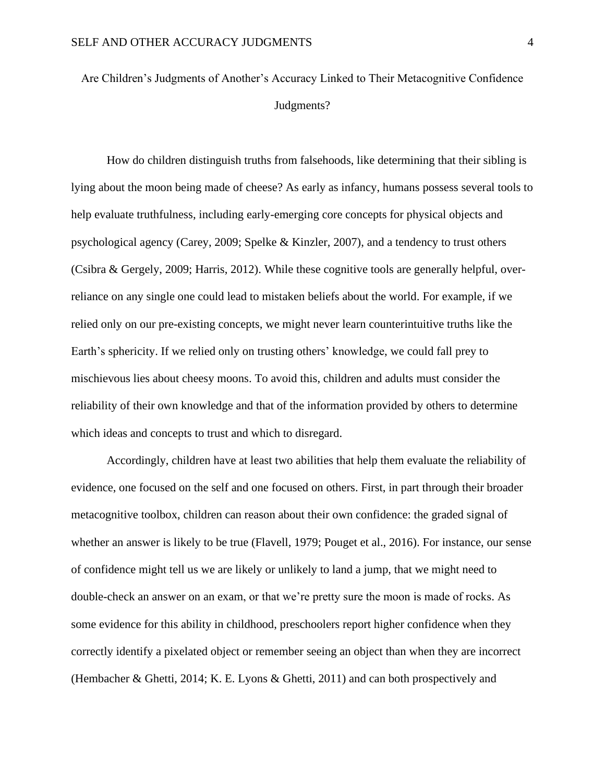Are Children's Judgments of Another's Accuracy Linked to Their Metacognitive Confidence Judgments?

How do children distinguish truths from falsehoods, like determining that their sibling is lying about the moon being made of cheese? As early as infancy, humans possess several tools to help evaluate truthfulness, including early-emerging core concepts for physical objects and psychological agency (Carey, 2009; Spelke & Kinzler, 2007), and a tendency to trust others (Csibra & Gergely, 2009; Harris, 2012). While these cognitive tools are generally helpful, overreliance on any single one could lead to mistaken beliefs about the world. For example, if we relied only on our pre-existing concepts, we might never learn counterintuitive truths like the Earth's sphericity. If we relied only on trusting others' knowledge, we could fall prey to mischievous lies about cheesy moons. To avoid this, children and adults must consider the reliability of their own knowledge and that of the information provided by others to determine which ideas and concepts to trust and which to disregard.

Accordingly, children have at least two abilities that help them evaluate the reliability of evidence, one focused on the self and one focused on others. First, in part through their broader metacognitive toolbox, children can reason about their own confidence: the graded signal of whether an answer is likely to be true (Flavell, 1979; Pouget et al., 2016). For instance, our sense of confidence might tell us we are likely or unlikely to land a jump, that we might need to double-check an answer on an exam, or that we're pretty sure the moon is made of rocks. As some evidence for this ability in childhood, preschoolers report higher confidence when they correctly identify a pixelated object or remember seeing an object than when they are incorrect (Hembacher & Ghetti, 2014; K. E. Lyons & Ghetti, 2011) and can both prospectively and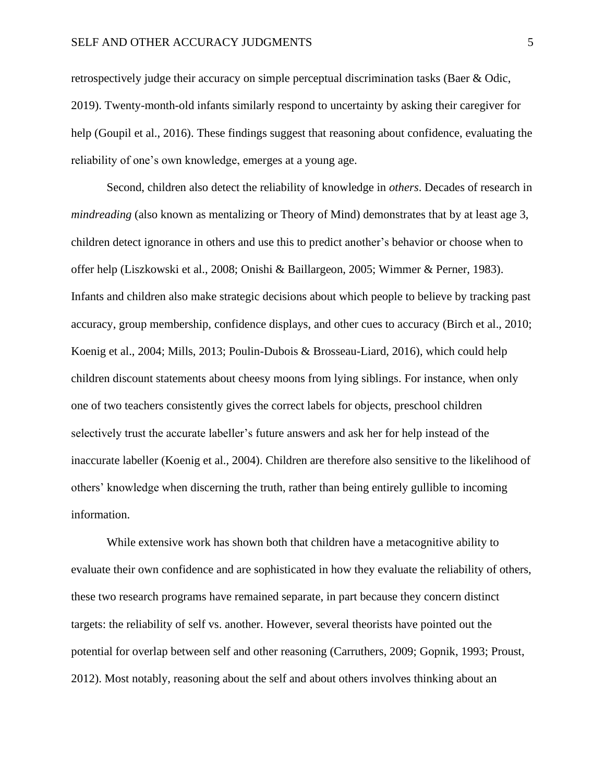retrospectively judge their accuracy on simple perceptual discrimination tasks (Baer & Odic, 2019). Twenty-month-old infants similarly respond to uncertainty by asking their caregiver for help (Goupil et al., 2016). These findings suggest that reasoning about confidence, evaluating the reliability of one's own knowledge, emerges at a young age.

Second, children also detect the reliability of knowledge in *others*. Decades of research in *mindreading* (also known as mentalizing or Theory of Mind) demonstrates that by at least age 3, children detect ignorance in others and use this to predict another's behavior or choose when to offer help (Liszkowski et al., 2008; Onishi & Baillargeon, 2005; Wimmer & Perner, 1983). Infants and children also make strategic decisions about which people to believe by tracking past accuracy, group membership, confidence displays, and other cues to accuracy (Birch et al., 2010; Koenig et al., 2004; Mills, 2013; Poulin-Dubois & Brosseau-Liard, 2016), which could help children discount statements about cheesy moons from lying siblings. For instance, when only one of two teachers consistently gives the correct labels for objects, preschool children selectively trust the accurate labeller's future answers and ask her for help instead of the inaccurate labeller (Koenig et al., 2004). Children are therefore also sensitive to the likelihood of others' knowledge when discerning the truth, rather than being entirely gullible to incoming information.

While extensive work has shown both that children have a metacognitive ability to evaluate their own confidence and are sophisticated in how they evaluate the reliability of others, these two research programs have remained separate, in part because they concern distinct targets: the reliability of self vs. another. However, several theorists have pointed out the potential for overlap between self and other reasoning (Carruthers, 2009; Gopnik, 1993; Proust, 2012). Most notably, reasoning about the self and about others involves thinking about an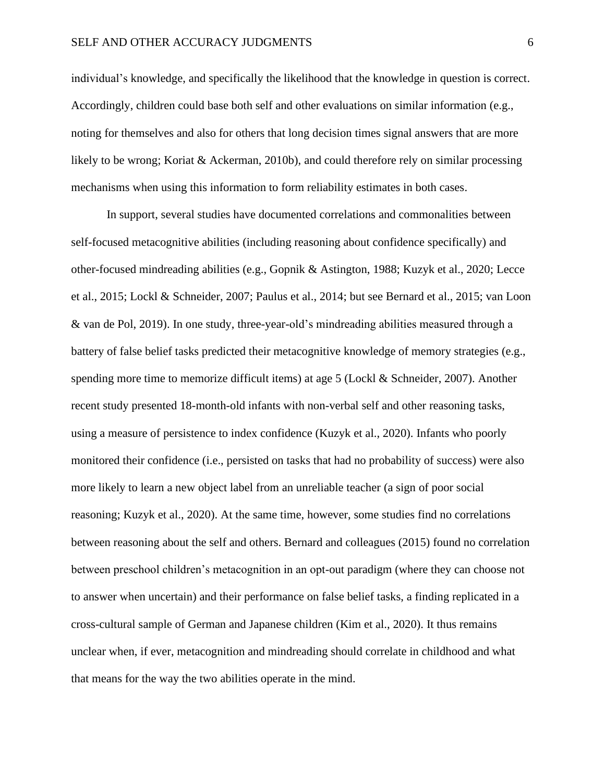#### SELF AND OTHER ACCURACY JUDGMENTS 6

individual's knowledge, and specifically the likelihood that the knowledge in question is correct. Accordingly, children could base both self and other evaluations on similar information (e.g., noting for themselves and also for others that long decision times signal answers that are more likely to be wrong; Koriat & Ackerman, 2010b), and could therefore rely on similar processing mechanisms when using this information to form reliability estimates in both cases.

In support, several studies have documented correlations and commonalities between self-focused metacognitive abilities (including reasoning about confidence specifically) and other-focused mindreading abilities (e.g., Gopnik & Astington, 1988; Kuzyk et al., 2020; Lecce et al., 2015; Lockl & Schneider, 2007; Paulus et al., 2014; but see Bernard et al., 2015; van Loon & van de Pol, 2019). In one study, three-year-old's mindreading abilities measured through a battery of false belief tasks predicted their metacognitive knowledge of memory strategies (e.g., spending more time to memorize difficult items) at age 5 (Lockl & Schneider, 2007). Another recent study presented 18-month-old infants with non-verbal self and other reasoning tasks, using a measure of persistence to index confidence (Kuzyk et al., 2020). Infants who poorly monitored their confidence (i.e., persisted on tasks that had no probability of success) were also more likely to learn a new object label from an unreliable teacher (a sign of poor social reasoning; Kuzyk et al., 2020). At the same time, however, some studies find no correlations between reasoning about the self and others. Bernard and colleagues (2015) found no correlation between preschool children's metacognition in an opt-out paradigm (where they can choose not to answer when uncertain) and their performance on false belief tasks, a finding replicated in a cross-cultural sample of German and Japanese children (Kim et al., 2020). It thus remains unclear when, if ever, metacognition and mindreading should correlate in childhood and what that means for the way the two abilities operate in the mind.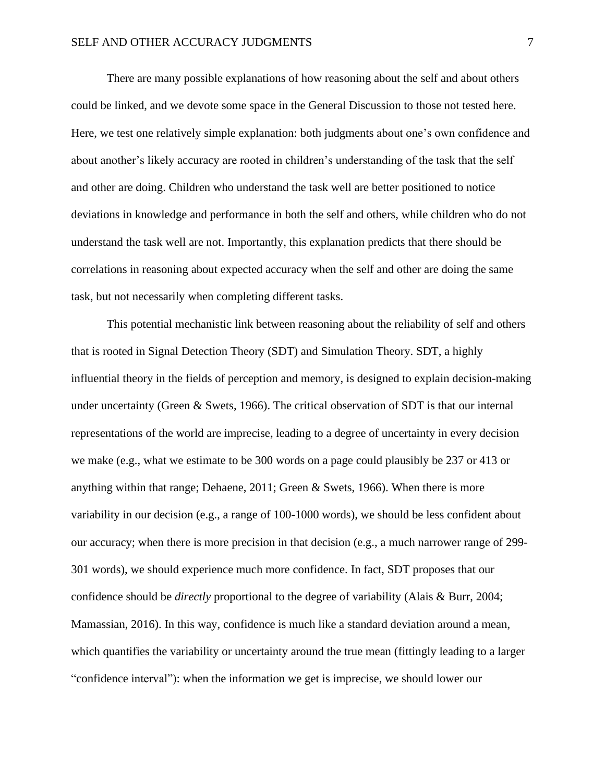There are many possible explanations of how reasoning about the self and about others could be linked, and we devote some space in the General Discussion to those not tested here. Here, we test one relatively simple explanation: both judgments about one's own confidence and about another's likely accuracy are rooted in children's understanding of the task that the self and other are doing. Children who understand the task well are better positioned to notice deviations in knowledge and performance in both the self and others, while children who do not understand the task well are not. Importantly, this explanation predicts that there should be correlations in reasoning about expected accuracy when the self and other are doing the same task, but not necessarily when completing different tasks.

This potential mechanistic link between reasoning about the reliability of self and others that is rooted in Signal Detection Theory (SDT) and Simulation Theory. SDT, a highly influential theory in the fields of perception and memory, is designed to explain decision-making under uncertainty (Green & Swets, 1966). The critical observation of SDT is that our internal representations of the world are imprecise, leading to a degree of uncertainty in every decision we make (e.g., what we estimate to be 300 words on a page could plausibly be 237 or 413 or anything within that range; Dehaene, 2011; Green & Swets, 1966). When there is more variability in our decision (e.g., a range of 100-1000 words), we should be less confident about our accuracy; when there is more precision in that decision (e.g., a much narrower range of 299- 301 words), we should experience much more confidence. In fact, SDT proposes that our confidence should be *directly* proportional to the degree of variability (Alais & Burr, 2004; Mamassian, 2016). In this way, confidence is much like a standard deviation around a mean, which quantifies the variability or uncertainty around the true mean (fittingly leading to a larger "confidence interval"): when the information we get is imprecise, we should lower our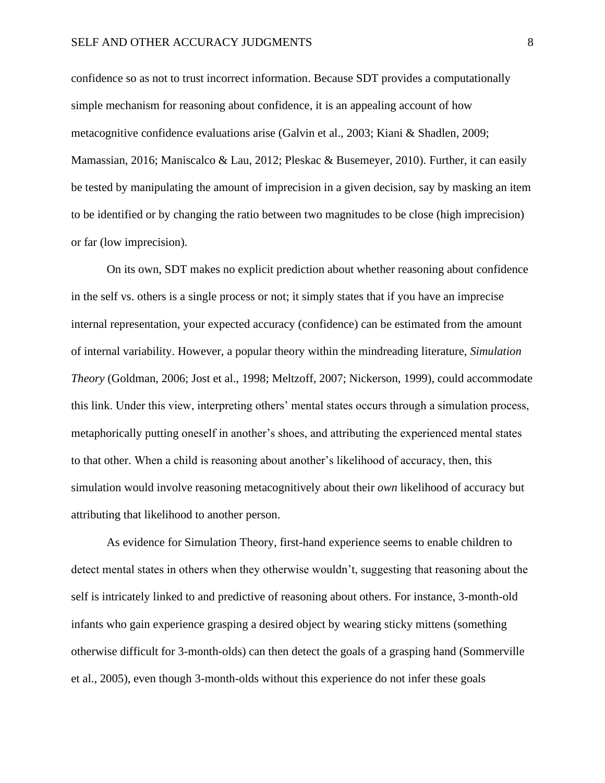confidence so as not to trust incorrect information. Because SDT provides a computationally simple mechanism for reasoning about confidence, it is an appealing account of how metacognitive confidence evaluations arise (Galvin et al., 2003; Kiani & Shadlen, 2009; Mamassian, 2016; Maniscalco & Lau, 2012; Pleskac & Busemeyer, 2010). Further, it can easily be tested by manipulating the amount of imprecision in a given decision, say by masking an item to be identified or by changing the ratio between two magnitudes to be close (high imprecision) or far (low imprecision).

On its own, SDT makes no explicit prediction about whether reasoning about confidence in the self vs. others is a single process or not; it simply states that if you have an imprecise internal representation, your expected accuracy (confidence) can be estimated from the amount of internal variability. However, a popular theory within the mindreading literature, *Simulation Theory* (Goldman, 2006; Jost et al., 1998; Meltzoff, 2007; Nickerson, 1999), could accommodate this link. Under this view, interpreting others' mental states occurs through a simulation process, metaphorically putting oneself in another's shoes, and attributing the experienced mental states to that other. When a child is reasoning about another's likelihood of accuracy, then, this simulation would involve reasoning metacognitively about their *own* likelihood of accuracy but attributing that likelihood to another person.

As evidence for Simulation Theory, first-hand experience seems to enable children to detect mental states in others when they otherwise wouldn't, suggesting that reasoning about the self is intricately linked to and predictive of reasoning about others. For instance, 3-month-old infants who gain experience grasping a desired object by wearing sticky mittens (something otherwise difficult for 3-month-olds) can then detect the goals of a grasping hand (Sommerville et al., 2005), even though 3-month-olds without this experience do not infer these goals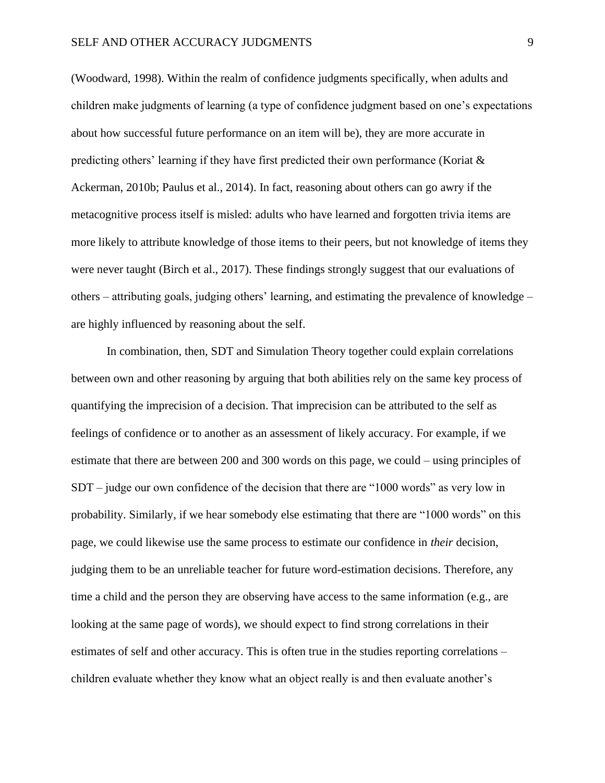(Woodward, 1998). Within the realm of confidence judgments specifically, when adults and children make judgments of learning (a type of confidence judgment based on one's expectations about how successful future performance on an item will be), they are more accurate in predicting others' learning if they have first predicted their own performance (Koriat & Ackerman, 2010b; Paulus et al., 2014). In fact, reasoning about others can go awry if the metacognitive process itself is misled: adults who have learned and forgotten trivia items are more likely to attribute knowledge of those items to their peers, but not knowledge of items they were never taught (Birch et al., 2017). These findings strongly suggest that our evaluations of others – attributing goals, judging others' learning, and estimating the prevalence of knowledge – are highly influenced by reasoning about the self.

In combination, then, SDT and Simulation Theory together could explain correlations between own and other reasoning by arguing that both abilities rely on the same key process of quantifying the imprecision of a decision. That imprecision can be attributed to the self as feelings of confidence or to another as an assessment of likely accuracy. For example, if we estimate that there are between 200 and 300 words on this page, we could – using principles of SDT – judge our own confidence of the decision that there are "1000 words" as very low in probability. Similarly, if we hear somebody else estimating that there are "1000 words" on this page, we could likewise use the same process to estimate our confidence in *their* decision, judging them to be an unreliable teacher for future word-estimation decisions. Therefore, any time a child and the person they are observing have access to the same information (e.g., are looking at the same page of words), we should expect to find strong correlations in their estimates of self and other accuracy. This is often true in the studies reporting correlations – children evaluate whether they know what an object really is and then evaluate another's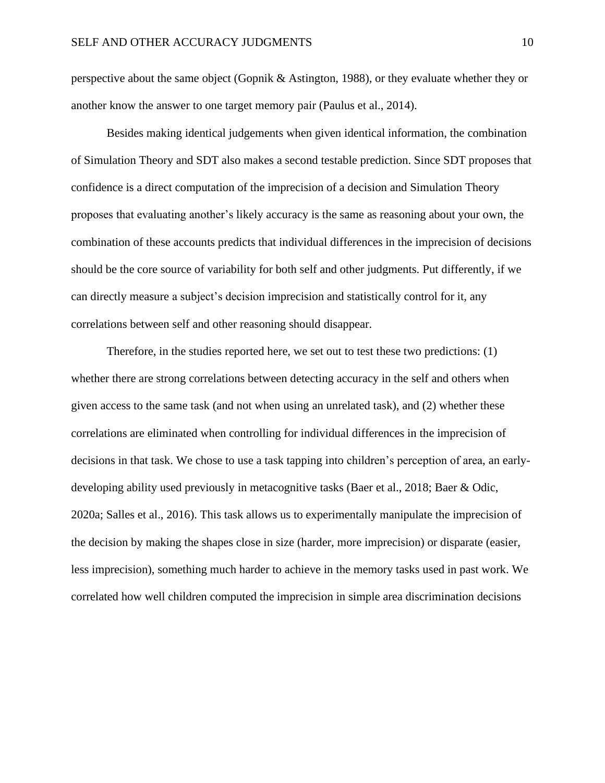perspective about the same object (Gopnik & Astington, 1988), or they evaluate whether they or another know the answer to one target memory pair (Paulus et al., 2014).

Besides making identical judgements when given identical information, the combination of Simulation Theory and SDT also makes a second testable prediction. Since SDT proposes that confidence is a direct computation of the imprecision of a decision and Simulation Theory proposes that evaluating another's likely accuracy is the same as reasoning about your own, the combination of these accounts predicts that individual differences in the imprecision of decisions should be the core source of variability for both self and other judgments. Put differently, if we can directly measure a subject's decision imprecision and statistically control for it, any correlations between self and other reasoning should disappear.

Therefore, in the studies reported here, we set out to test these two predictions: (1) whether there are strong correlations between detecting accuracy in the self and others when given access to the same task (and not when using an unrelated task), and (2) whether these correlations are eliminated when controlling for individual differences in the imprecision of decisions in that task. We chose to use a task tapping into children's perception of area, an earlydeveloping ability used previously in metacognitive tasks (Baer et al., 2018; Baer & Odic, 2020a; Salles et al., 2016). This task allows us to experimentally manipulate the imprecision of the decision by making the shapes close in size (harder, more imprecision) or disparate (easier, less imprecision), something much harder to achieve in the memory tasks used in past work. We correlated how well children computed the imprecision in simple area discrimination decisions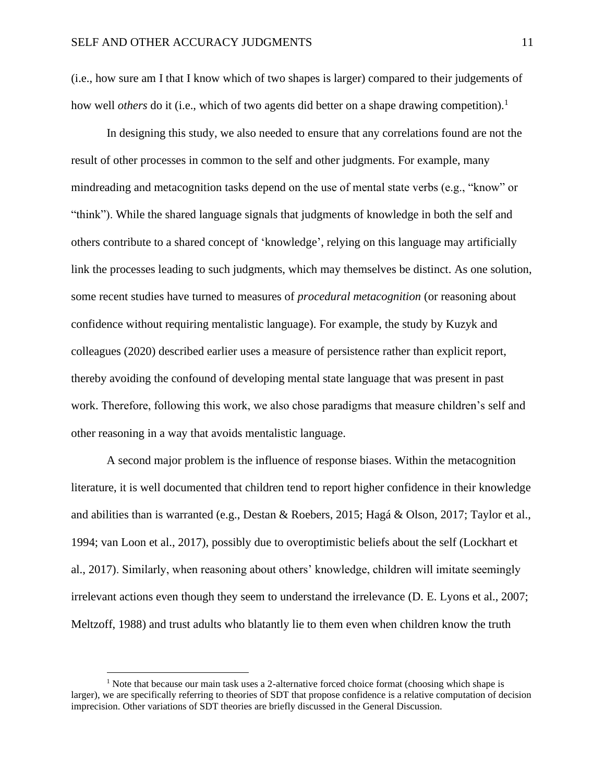(i.e., how sure am I that I know which of two shapes is larger) compared to their judgements of how well *others* do it (i.e., which of two agents did better on a shape drawing competition).<sup>1</sup>

In designing this study, we also needed to ensure that any correlations found are not the result of other processes in common to the self and other judgments. For example, many mindreading and metacognition tasks depend on the use of mental state verbs (e.g., "know" or "think"). While the shared language signals that judgments of knowledge in both the self and others contribute to a shared concept of 'knowledge', relying on this language may artificially link the processes leading to such judgments, which may themselves be distinct. As one solution, some recent studies have turned to measures of *procedural metacognition* (or reasoning about confidence without requiring mentalistic language). For example, the study by Kuzyk and colleagues (2020) described earlier uses a measure of persistence rather than explicit report, thereby avoiding the confound of developing mental state language that was present in past work. Therefore, following this work, we also chose paradigms that measure children's self and other reasoning in a way that avoids mentalistic language.

A second major problem is the influence of response biases. Within the metacognition literature, it is well documented that children tend to report higher confidence in their knowledge and abilities than is warranted (e.g., Destan & Roebers, 2015; Hagá & Olson, 2017; Taylor et al., 1994; van Loon et al., 2017), possibly due to overoptimistic beliefs about the self (Lockhart et al., 2017). Similarly, when reasoning about others' knowledge, children will imitate seemingly irrelevant actions even though they seem to understand the irrelevance (D. E. Lyons et al., 2007; Meltzoff, 1988) and trust adults who blatantly lie to them even when children know the truth

 $<sup>1</sup>$  Note that because our main task uses a 2-alternative forced choice format (choosing which shape is</sup> larger), we are specifically referring to theories of SDT that propose confidence is a relative computation of decision imprecision. Other variations of SDT theories are briefly discussed in the General Discussion.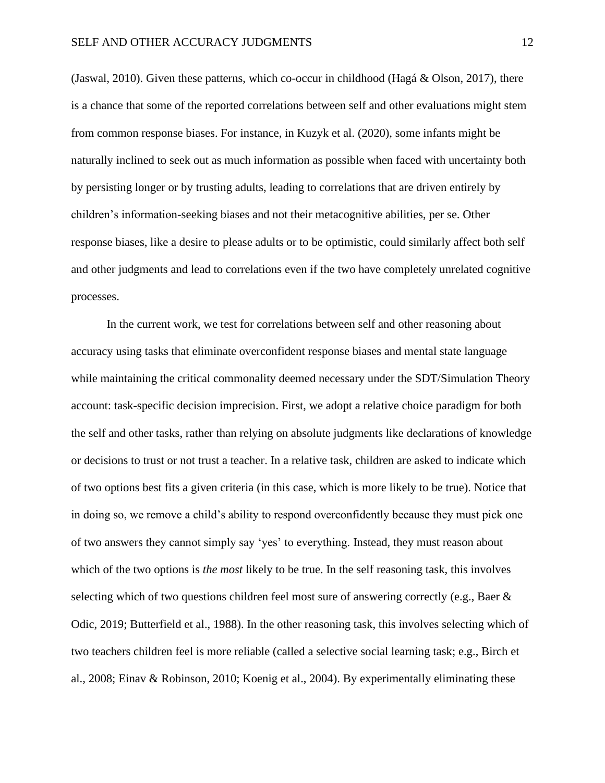(Jaswal, 2010). Given these patterns, which co-occur in childhood (Hagá  $\&$  Olson, 2017), there is a chance that some of the reported correlations between self and other evaluations might stem from common response biases. For instance, in Kuzyk et al. (2020), some infants might be naturally inclined to seek out as much information as possible when faced with uncertainty both by persisting longer or by trusting adults, leading to correlations that are driven entirely by children's information-seeking biases and not their metacognitive abilities, per se. Other response biases, like a desire to please adults or to be optimistic, could similarly affect both self and other judgments and lead to correlations even if the two have completely unrelated cognitive processes.

In the current work, we test for correlations between self and other reasoning about accuracy using tasks that eliminate overconfident response biases and mental state language while maintaining the critical commonality deemed necessary under the SDT/Simulation Theory account: task-specific decision imprecision. First, we adopt a relative choice paradigm for both the self and other tasks, rather than relying on absolute judgments like declarations of knowledge or decisions to trust or not trust a teacher. In a relative task, children are asked to indicate which of two options best fits a given criteria (in this case, which is more likely to be true). Notice that in doing so, we remove a child's ability to respond overconfidently because they must pick one of two answers they cannot simply say 'yes' to everything. Instead, they must reason about which of the two options is *the most* likely to be true. In the self reasoning task, this involves selecting which of two questions children feel most sure of answering correctly (e.g., Baer & Odic, 2019; Butterfield et al., 1988). In the other reasoning task, this involves selecting which of two teachers children feel is more reliable (called a selective social learning task; e.g., Birch et al., 2008; Einav & Robinson, 2010; Koenig et al., 2004). By experimentally eliminating these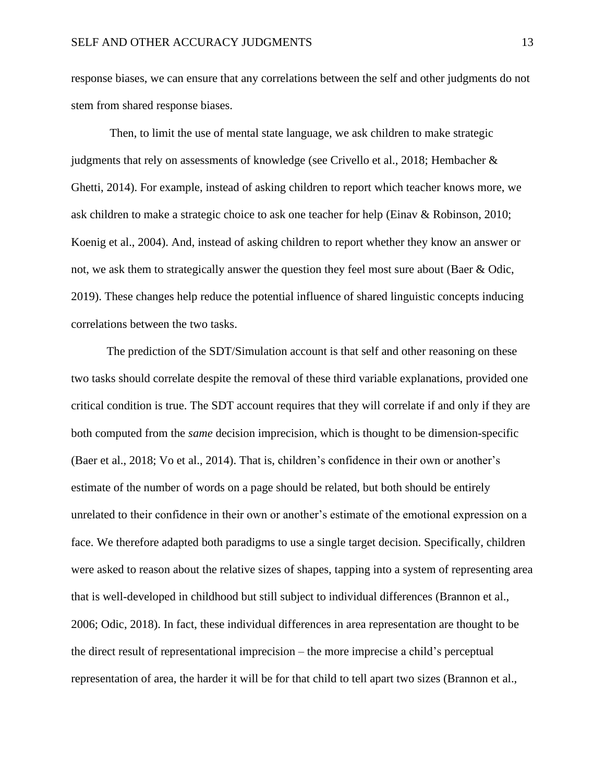response biases, we can ensure that any correlations between the self and other judgments do not stem from shared response biases.

Then, to limit the use of mental state language, we ask children to make strategic judgments that rely on assessments of knowledge (see Crivello et al., 2018; Hembacher & Ghetti, 2014). For example, instead of asking children to report which teacher knows more, we ask children to make a strategic choice to ask one teacher for help (Einav & Robinson, 2010; Koenig et al., 2004). And, instead of asking children to report whether they know an answer or not, we ask them to strategically answer the question they feel most sure about (Baer & Odic, 2019). These changes help reduce the potential influence of shared linguistic concepts inducing correlations between the two tasks.

The prediction of the SDT/Simulation account is that self and other reasoning on these two tasks should correlate despite the removal of these third variable explanations, provided one critical condition is true. The SDT account requires that they will correlate if and only if they are both computed from the *same* decision imprecision, which is thought to be dimension-specific (Baer et al., 2018; Vo et al., 2014). That is, children's confidence in their own or another's estimate of the number of words on a page should be related, but both should be entirely unrelated to their confidence in their own or another's estimate of the emotional expression on a face. We therefore adapted both paradigms to use a single target decision. Specifically, children were asked to reason about the relative sizes of shapes, tapping into a system of representing area that is well-developed in childhood but still subject to individual differences (Brannon et al., 2006; Odic, 2018). In fact, these individual differences in area representation are thought to be the direct result of representational imprecision – the more imprecise a child's perceptual representation of area, the harder it will be for that child to tell apart two sizes (Brannon et al.,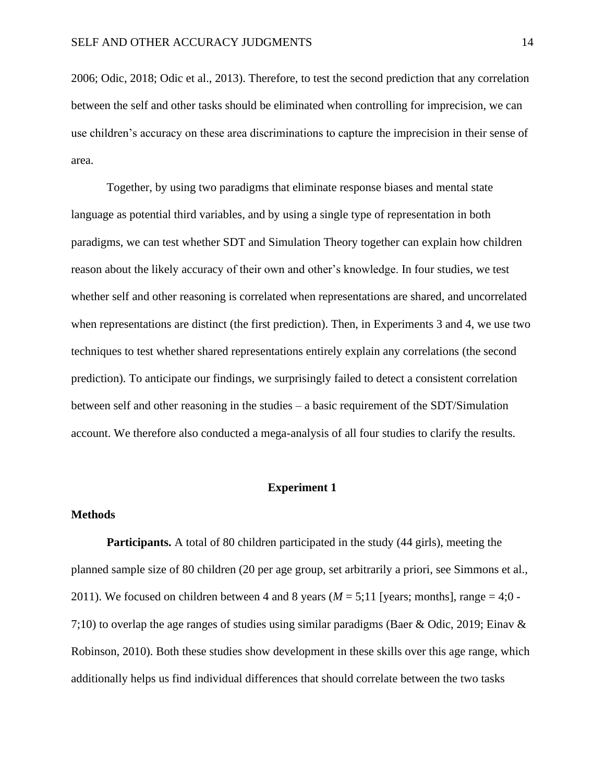2006; Odic, 2018; Odic et al., 2013). Therefore, to test the second prediction that any correlation between the self and other tasks should be eliminated when controlling for imprecision, we can use children's accuracy on these area discriminations to capture the imprecision in their sense of area.

Together, by using two paradigms that eliminate response biases and mental state language as potential third variables, and by using a single type of representation in both paradigms, we can test whether SDT and Simulation Theory together can explain how children reason about the likely accuracy of their own and other's knowledge. In four studies, we test whether self and other reasoning is correlated when representations are shared, and uncorrelated when representations are distinct (the first prediction). Then, in Experiments 3 and 4, we use two techniques to test whether shared representations entirely explain any correlations (the second prediction). To anticipate our findings, we surprisingly failed to detect a consistent correlation between self and other reasoning in the studies – a basic requirement of the SDT/Simulation account. We therefore also conducted a mega-analysis of all four studies to clarify the results.

# **Experiment 1**

#### **Methods**

**Participants.** A total of 80 children participated in the study (44 girls), meeting the planned sample size of 80 children (20 per age group, set arbitrarily a priori, see Simmons et al., 2011). We focused on children between 4 and 8 years ( $M = 5;11$  [years; months], range = 4;0 -7;10) to overlap the age ranges of studies using similar paradigms (Baer & Odic, 2019; Einav & Robinson, 2010). Both these studies show development in these skills over this age range, which additionally helps us find individual differences that should correlate between the two tasks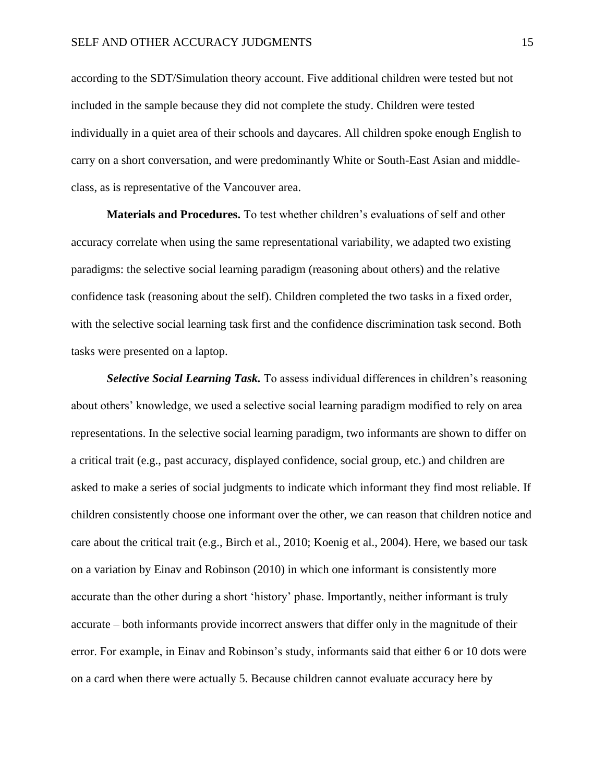according to the SDT/Simulation theory account. Five additional children were tested but not included in the sample because they did not complete the study. Children were tested individually in a quiet area of their schools and daycares. All children spoke enough English to carry on a short conversation, and were predominantly White or South-East Asian and middleclass, as is representative of the Vancouver area.

**Materials and Procedures.** To test whether children's evaluations of self and other accuracy correlate when using the same representational variability, we adapted two existing paradigms: the selective social learning paradigm (reasoning about others) and the relative confidence task (reasoning about the self). Children completed the two tasks in a fixed order, with the selective social learning task first and the confidence discrimination task second. Both tasks were presented on a laptop.

*Selective Social Learning Task.* To assess individual differences in children's reasoning about others' knowledge, we used a selective social learning paradigm modified to rely on area representations. In the selective social learning paradigm, two informants are shown to differ on a critical trait (e.g., past accuracy, displayed confidence, social group, etc.) and children are asked to make a series of social judgments to indicate which informant they find most reliable. If children consistently choose one informant over the other, we can reason that children notice and care about the critical trait (e.g., Birch et al., 2010; Koenig et al., 2004). Here, we based our task on a variation by Einav and Robinson (2010) in which one informant is consistently more accurate than the other during a short 'history' phase. Importantly, neither informant is truly accurate – both informants provide incorrect answers that differ only in the magnitude of their error. For example, in Einav and Robinson's study, informants said that either 6 or 10 dots were on a card when there were actually 5. Because children cannot evaluate accuracy here by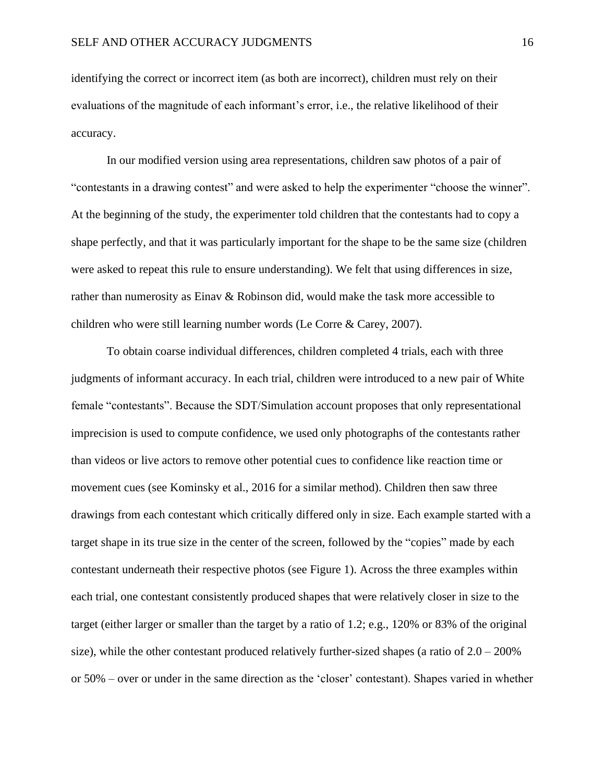identifying the correct or incorrect item (as both are incorrect), children must rely on their evaluations of the magnitude of each informant's error, i.e., the relative likelihood of their accuracy.

In our modified version using area representations, children saw photos of a pair of "contestants in a drawing contest" and were asked to help the experimenter "choose the winner". At the beginning of the study, the experimenter told children that the contestants had to copy a shape perfectly, and that it was particularly important for the shape to be the same size (children were asked to repeat this rule to ensure understanding). We felt that using differences in size, rather than numerosity as Einav & Robinson did, would make the task more accessible to children who were still learning number words (Le Corre & Carey, 2007).

To obtain coarse individual differences, children completed 4 trials, each with three judgments of informant accuracy. In each trial, children were introduced to a new pair of White female "contestants". Because the SDT/Simulation account proposes that only representational imprecision is used to compute confidence, we used only photographs of the contestants rather than videos or live actors to remove other potential cues to confidence like reaction time or movement cues (see Kominsky et al., 2016 for a similar method). Children then saw three drawings from each contestant which critically differed only in size. Each example started with a target shape in its true size in the center of the screen, followed by the "copies" made by each contestant underneath their respective photos (see Figure 1). Across the three examples within each trial, one contestant consistently produced shapes that were relatively closer in size to the target (either larger or smaller than the target by a ratio of 1.2; e.g., 120% or 83% of the original size), while the other contestant produced relatively further-sized shapes (a ratio of  $2.0 - 200\%$ ) or 50% – over or under in the same direction as the 'closer' contestant). Shapes varied in whether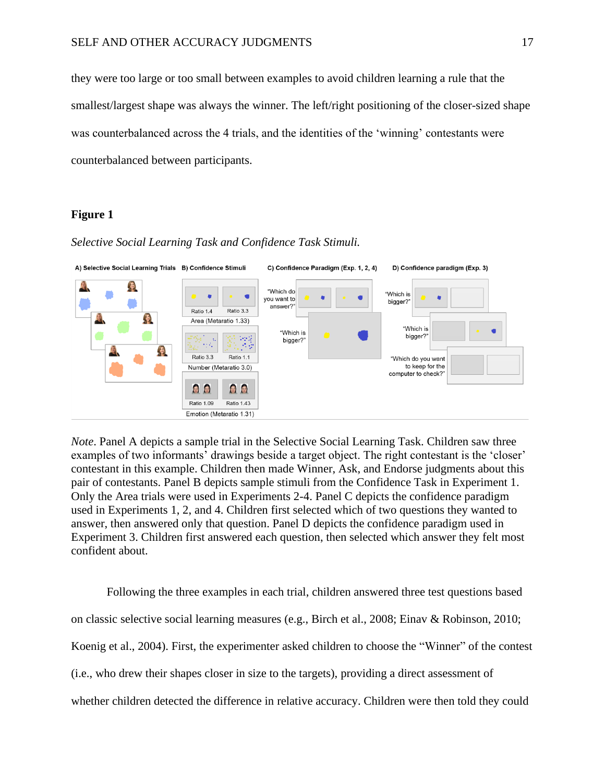they were too large or too small between examples to avoid children learning a rule that the smallest/largest shape was always the winner. The left/right positioning of the closer-sized shape was counterbalanced across the 4 trials, and the identities of the 'winning' contestants were counterbalanced between participants.

# **Figure 1**

#### *Selective Social Learning Task and Confidence Task Stimuli.*



*Note*. Panel A depicts a sample trial in the Selective Social Learning Task. Children saw three examples of two informants' drawings beside a target object. The right contestant is the 'closer' contestant in this example. Children then made Winner, Ask, and Endorse judgments about this pair of contestants. Panel B depicts sample stimuli from the Confidence Task in Experiment 1. Only the Area trials were used in Experiments 2-4. Panel C depicts the confidence paradigm used in Experiments 1, 2, and 4. Children first selected which of two questions they wanted to answer, then answered only that question. Panel D depicts the confidence paradigm used in Experiment 3. Children first answered each question, then selected which answer they felt most confident about.

Following the three examples in each trial, children answered three test questions based on classic selective social learning measures (e.g., Birch et al., 2008; Einav & Robinson, 2010; Koenig et al., 2004). First, the experimenter asked children to choose the "Winner" of the contest (i.e., who drew their shapes closer in size to the targets), providing a direct assessment of whether children detected the difference in relative accuracy. Children were then told they could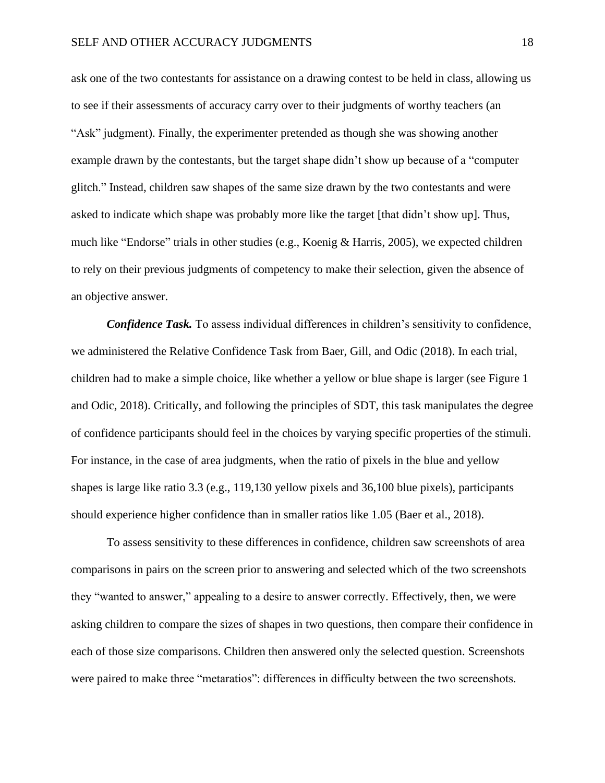ask one of the two contestants for assistance on a drawing contest to be held in class, allowing us to see if their assessments of accuracy carry over to their judgments of worthy teachers (an "Ask" judgment). Finally, the experimenter pretended as though she was showing another example drawn by the contestants, but the target shape didn't show up because of a "computer glitch." Instead, children saw shapes of the same size drawn by the two contestants and were asked to indicate which shape was probably more like the target [that didn't show up]. Thus, much like "Endorse" trials in other studies (e.g., Koenig & Harris, 2005), we expected children to rely on their previous judgments of competency to make their selection, given the absence of an objective answer.

*Confidence Task.* To assess individual differences in children's sensitivity to confidence, we administered the Relative Confidence Task from Baer, Gill, and Odic (2018). In each trial, children had to make a simple choice, like whether a yellow or blue shape is larger (see Figure 1 and Odic, 2018). Critically, and following the principles of SDT, this task manipulates the degree of confidence participants should feel in the choices by varying specific properties of the stimuli. For instance, in the case of area judgments, when the ratio of pixels in the blue and yellow shapes is large like ratio 3.3 (e.g., 119,130 yellow pixels and 36,100 blue pixels), participants should experience higher confidence than in smaller ratios like 1.05 (Baer et al., 2018).

To assess sensitivity to these differences in confidence, children saw screenshots of area comparisons in pairs on the screen prior to answering and selected which of the two screenshots they "wanted to answer," appealing to a desire to answer correctly. Effectively, then, we were asking children to compare the sizes of shapes in two questions, then compare their confidence in each of those size comparisons. Children then answered only the selected question. Screenshots were paired to make three "metaratios": differences in difficulty between the two screenshots.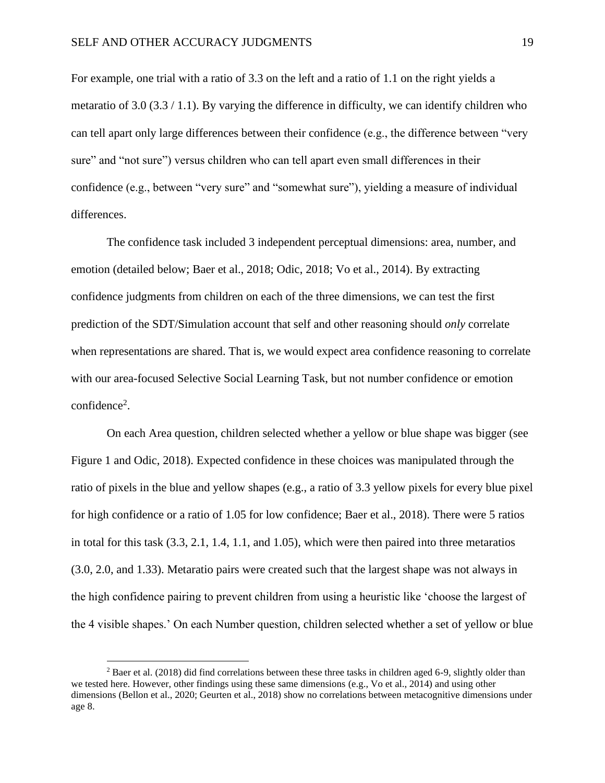For example, one trial with a ratio of 3.3 on the left and a ratio of 1.1 on the right yields a metaratio of 3.0 (3.3 / 1.1). By varying the difference in difficulty, we can identify children who can tell apart only large differences between their confidence (e.g., the difference between "very sure" and "not sure") versus children who can tell apart even small differences in their confidence (e.g., between "very sure" and "somewhat sure"), yielding a measure of individual differences.

The confidence task included 3 independent perceptual dimensions: area, number, and emotion (detailed below; Baer et al., 2018; Odic, 2018; Vo et al., 2014). By extracting confidence judgments from children on each of the three dimensions, we can test the first prediction of the SDT/Simulation account that self and other reasoning should *only* correlate when representations are shared. That is, we would expect area confidence reasoning to correlate with our area-focused Selective Social Learning Task, but not number confidence or emotion confidence<sup>2</sup>.

On each Area question, children selected whether a yellow or blue shape was bigger (see Figure 1 and Odic, 2018). Expected confidence in these choices was manipulated through the ratio of pixels in the blue and yellow shapes (e.g., a ratio of 3.3 yellow pixels for every blue pixel for high confidence or a ratio of 1.05 for low confidence; Baer et al., 2018). There were 5 ratios in total for this task (3.3, 2.1, 1.4, 1.1, and 1.05), which were then paired into three metaratios (3.0, 2.0, and 1.33). Metaratio pairs were created such that the largest shape was not always in the high confidence pairing to prevent children from using a heuristic like 'choose the largest of the 4 visible shapes.' On each Number question, children selected whether a set of yellow or blue

 $2$  Baer et al. (2018) did find correlations between these three tasks in children aged 6-9, slightly older than we tested here. However, other findings using these same dimensions (e.g., Vo et al., 2014) and using other dimensions (Bellon et al., 2020; Geurten et al., 2018) show no correlations between metacognitive dimensions under age 8.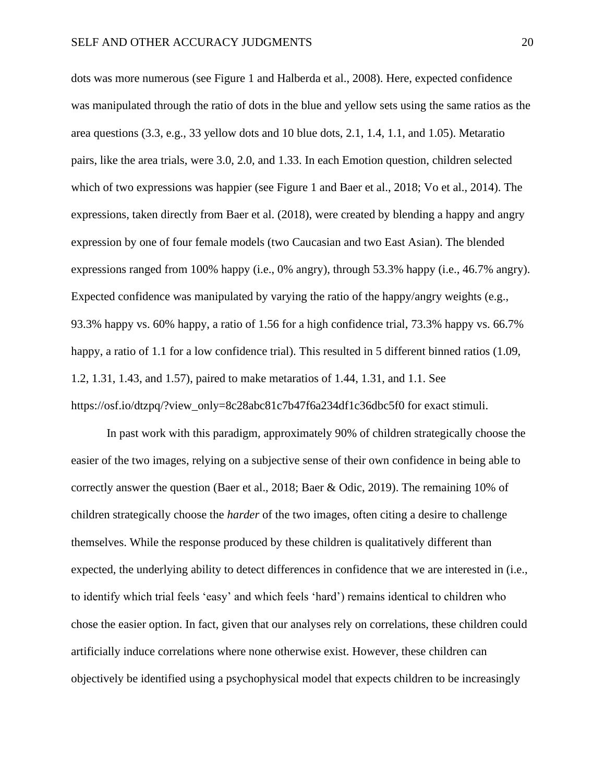dots was more numerous (see Figure 1 and Halberda et al., 2008). Here, expected confidence was manipulated through the ratio of dots in the blue and yellow sets using the same ratios as the area questions (3.3, e.g., 33 yellow dots and 10 blue dots, 2.1, 1.4, 1.1, and 1.05). Metaratio pairs, like the area trials, were 3.0, 2.0, and 1.33. In each Emotion question, children selected which of two expressions was happier (see Figure 1 and Baer et al., 2018; Vo et al., 2014). The expressions, taken directly from Baer et al. (2018), were created by blending a happy and angry expression by one of four female models (two Caucasian and two East Asian). The blended expressions ranged from 100% happy (i.e., 0% angry), through 53.3% happy (i.e., 46.7% angry). Expected confidence was manipulated by varying the ratio of the happy/angry weights (e.g., 93.3% happy vs. 60% happy, a ratio of 1.56 for a high confidence trial, 73.3% happy vs. 66.7% happy, a ratio of 1.1 for a low confidence trial). This resulted in 5 different binned ratios (1.09, 1.2, 1.31, 1.43, and 1.57), paired to make metaratios of 1.44, 1.31, and 1.1. See https://osf.io/dtzpq/?view\_only=8c28abc81c7b47f6a234df1c36dbc5f0 for exact stimuli.

In past work with this paradigm, approximately 90% of children strategically choose the easier of the two images, relying on a subjective sense of their own confidence in being able to correctly answer the question (Baer et al., 2018; Baer & Odic, 2019). The remaining 10% of children strategically choose the *harder* of the two images, often citing a desire to challenge themselves. While the response produced by these children is qualitatively different than expected, the underlying ability to detect differences in confidence that we are interested in (i.e., to identify which trial feels 'easy' and which feels 'hard') remains identical to children who chose the easier option. In fact, given that our analyses rely on correlations, these children could artificially induce correlations where none otherwise exist. However, these children can objectively be identified using a psychophysical model that expects children to be increasingly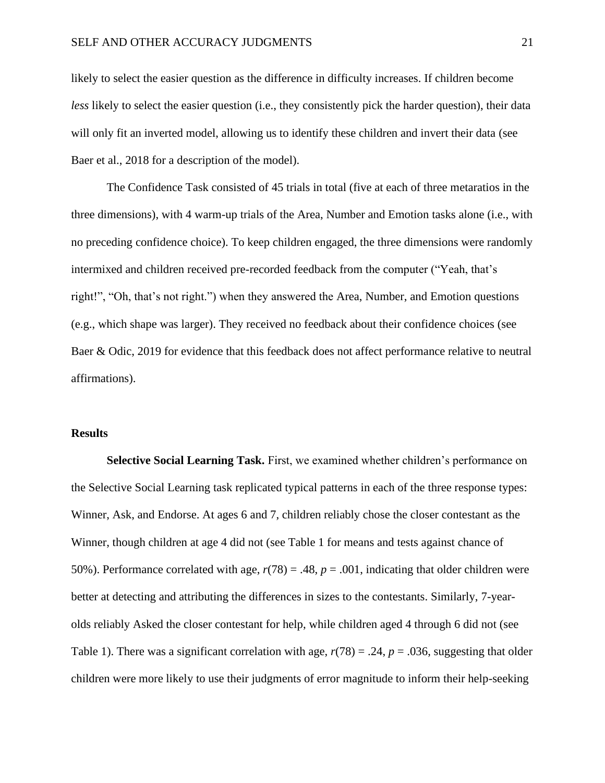likely to select the easier question as the difference in difficulty increases. If children become *less* likely to select the easier question (i.e., they consistently pick the harder question), their data will only fit an inverted model, allowing us to identify these children and invert their data (see Baer et al., 2018 for a description of the model).

The Confidence Task consisted of 45 trials in total (five at each of three metaratios in the three dimensions), with 4 warm-up trials of the Area, Number and Emotion tasks alone (i.e., with no preceding confidence choice). To keep children engaged, the three dimensions were randomly intermixed and children received pre-recorded feedback from the computer ("Yeah, that's right!", "Oh, that's not right.") when they answered the Area, Number, and Emotion questions (e.g., which shape was larger). They received no feedback about their confidence choices (see Baer & Odic, 2019 for evidence that this feedback does not affect performance relative to neutral affirmations).

#### **Results**

**Selective Social Learning Task.** First, we examined whether children's performance on the Selective Social Learning task replicated typical patterns in each of the three response types: Winner, Ask, and Endorse. At ages 6 and 7, children reliably chose the closer contestant as the Winner, though children at age 4 did not (see Table 1 for means and tests against chance of 50%). Performance correlated with age, *r*(78) = .48, *p* = .001, indicating that older children were better at detecting and attributing the differences in sizes to the contestants. Similarly, 7-yearolds reliably Asked the closer contestant for help, while children aged 4 through 6 did not (see Table 1). There was a significant correlation with age,  $r(78) = .24$ ,  $p = .036$ , suggesting that older children were more likely to use their judgments of error magnitude to inform their help-seeking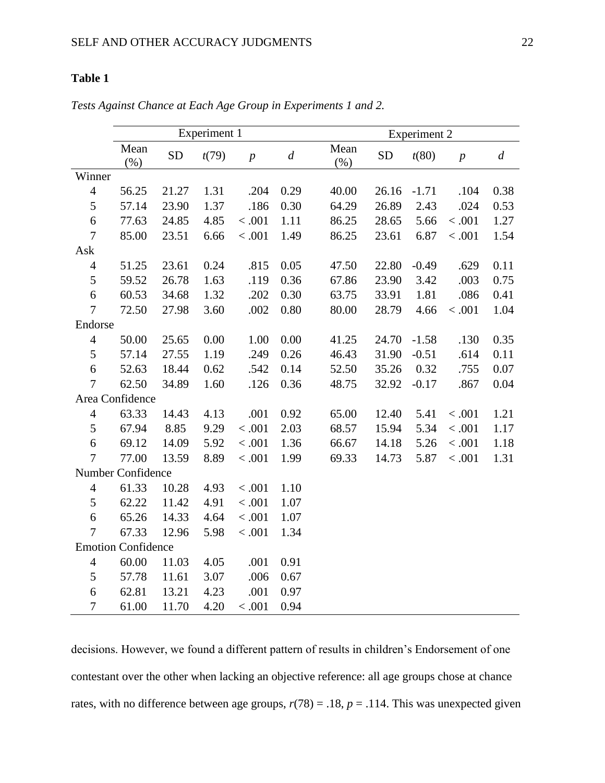# **Table 1**

|                           | Experiment 1      |           |       |                  |                  | <b>Experiment 2</b> |           |         |                |                  |
|---------------------------|-------------------|-----------|-------|------------------|------------------|---------------------|-----------|---------|----------------|------------------|
|                           | Mean<br>(%)       | <b>SD</b> | t(79) | $\boldsymbol{p}$ | $\boldsymbol{d}$ | Mean<br>$(\% )$     | <b>SD</b> | t(80)   | $\overline{p}$ | $\boldsymbol{d}$ |
| Winner                    |                   |           |       |                  |                  |                     |           |         |                |                  |
| $\overline{4}$            | 56.25             | 21.27     | 1.31  | .204             | 0.29             | 40.00               | 26.16     | $-1.71$ | .104           | 0.38             |
| 5                         | 57.14             | 23.90     | 1.37  | .186             | 0.30             | 64.29               | 26.89     | 2.43    | .024           | 0.53             |
| 6                         | 77.63             | 24.85     | 4.85  | < .001           | 1.11             | 86.25               | 28.65     | 5.66    | < .001         | 1.27             |
| 7                         | 85.00             | 23.51     | 6.66  | < .001           | 1.49             | 86.25               | 23.61     | 6.87    | < .001         | 1.54             |
| Ask                       |                   |           |       |                  |                  |                     |           |         |                |                  |
| $\overline{4}$            | 51.25             | 23.61     | 0.24  | .815             | 0.05             | 47.50               | 22.80     | $-0.49$ | .629           | 0.11             |
| 5                         | 59.52             | 26.78     | 1.63  | .119             | 0.36             | 67.86               | 23.90     | 3.42    | .003           | 0.75             |
| 6                         | 60.53             | 34.68     | 1.32  | .202             | 0.30             | 63.75               | 33.91     | 1.81    | .086           | 0.41             |
| $\overline{7}$            | 72.50             | 27.98     | 3.60  | .002             | 0.80             | 80.00               | 28.79     | 4.66    | < .001         | 1.04             |
| Endorse                   |                   |           |       |                  |                  |                     |           |         |                |                  |
| $\overline{4}$            | 50.00             | 25.65     | 0.00  | 1.00             | 0.00             | 41.25               | 24.70     | $-1.58$ | .130           | 0.35             |
| 5                         | 57.14             | 27.55     | 1.19  | .249             | 0.26             | 46.43               | 31.90     | $-0.51$ | .614           | 0.11             |
| $\boldsymbol{6}$          | 52.63             | 18.44     | 0.62  | .542             | 0.14             | 52.50               | 35.26     | 0.32    | .755           | 0.07             |
| $\overline{7}$            | 62.50             | 34.89     | 1.60  | .126             | 0.36             | 48.75               | 32.92     | $-0.17$ | .867           | 0.04             |
|                           | Area Confidence   |           |       |                  |                  |                     |           |         |                |                  |
| $\overline{4}$            | 63.33             | 14.43     | 4.13  | .001             | 0.92             | 65.00               | 12.40     | 5.41    | < .001         | 1.21             |
| 5                         | 67.94             | 8.85      | 9.29  | < .001           | 2.03             | 68.57               | 15.94     | 5.34    | < .001         | 1.17             |
| 6                         | 69.12             | 14.09     | 5.92  | < .001           | 1.36             | 66.67               | 14.18     | 5.26    | < .001         | 1.18             |
| 7                         | 77.00             | 13.59     | 8.89  | < .001           | 1.99             | 69.33               | 14.73     | 5.87    | < .001         | 1.31             |
|                           | Number Confidence |           |       |                  |                  |                     |           |         |                |                  |
| $\overline{4}$            | 61.33             | 10.28     | 4.93  | < .001           | $1.10\,$         |                     |           |         |                |                  |
| 5                         | 62.22             | 11.42     | 4.91  | < .001           | 1.07             |                     |           |         |                |                  |
| 6                         | 65.26             | 14.33     | 4.64  | < .001           | 1.07             |                     |           |         |                |                  |
| $\overline{7}$            | 67.33             | 12.96     | 5.98  | < .001           | 1.34             |                     |           |         |                |                  |
| <b>Emotion Confidence</b> |                   |           |       |                  |                  |                     |           |         |                |                  |
| $\overline{4}$            | 60.00             | 11.03     | 4.05  | .001             | 0.91             |                     |           |         |                |                  |
| 5                         | 57.78             | 11.61     | 3.07  | .006             | 0.67             |                     |           |         |                |                  |
| 6                         | 62.81             | 13.21     | 4.23  | .001             | 0.97             |                     |           |         |                |                  |
| 7                         | 61.00             | 11.70     | 4.20  | < .001           | 0.94             |                     |           |         |                |                  |

*Tests Against Chance at Each Age Group in Experiments 1 and 2.*

decisions. However, we found a different pattern of results in children's Endorsement of one contestant over the other when lacking an objective reference: all age groups chose at chance rates, with no difference between age groups,  $r(78) = .18$ ,  $p = .114$ . This was unexpected given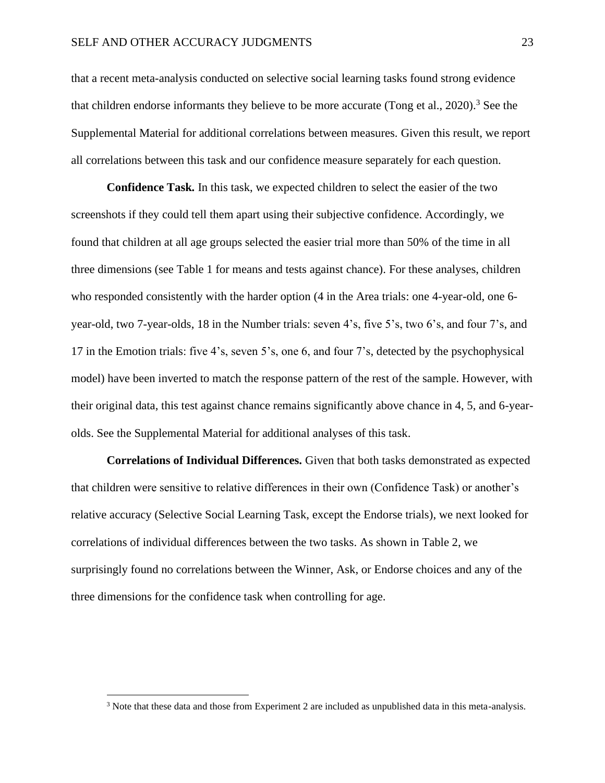that a recent meta-analysis conducted on selective social learning tasks found strong evidence that children endorse informants they believe to be more accurate (Tong et al., 2020). <sup>3</sup> See the Supplemental Material for additional correlations between measures. Given this result, we report all correlations between this task and our confidence measure separately for each question.

**Confidence Task***.* In this task, we expected children to select the easier of the two screenshots if they could tell them apart using their subjective confidence. Accordingly, we found that children at all age groups selected the easier trial more than 50% of the time in all three dimensions (see Table 1 for means and tests against chance). For these analyses, children who responded consistently with the harder option (4 in the Area trials: one 4-year-old, one 6 year-old, two 7-year-olds, 18 in the Number trials: seven 4's, five 5's, two 6's, and four 7's, and 17 in the Emotion trials: five 4's, seven 5's, one 6, and four 7's, detected by the psychophysical model) have been inverted to match the response pattern of the rest of the sample. However, with their original data, this test against chance remains significantly above chance in 4, 5, and 6-yearolds. See the Supplemental Material for additional analyses of this task.

**Correlations of Individual Differences.** Given that both tasks demonstrated as expected that children were sensitive to relative differences in their own (Confidence Task) or another's relative accuracy (Selective Social Learning Task, except the Endorse trials), we next looked for correlations of individual differences between the two tasks. As shown in Table 2, we surprisingly found no correlations between the Winner, Ask, or Endorse choices and any of the three dimensions for the confidence task when controlling for age.

<sup>3</sup> Note that these data and those from Experiment 2 are included as unpublished data in this meta-analysis.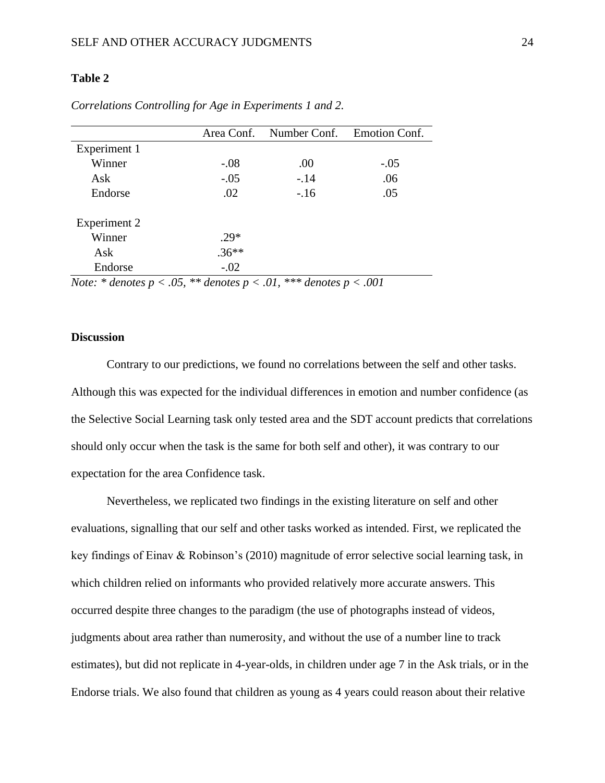# **Table 2**

|                     |          | Area Conf. Number Conf. Emotion Conf. |        |
|---------------------|----------|---------------------------------------|--------|
| Experiment 1        |          |                                       |        |
| Winner              | $-.08$   | .00                                   | $-.05$ |
| Ask                 | $-.05$   | $-.14$                                | .06    |
| Endorse             | .02      | $-.16$                                | .05    |
| <b>Experiment 2</b> |          |                                       |        |
| Winner              | $.29*$   |                                       |        |
| Ask                 | $.36***$ |                                       |        |
| Endorse             | $-.02$   |                                       |        |

*Correlations Controlling for Age in Experiments 1 and 2.*

*Note: \* denotes p < .05, \*\* denotes p < .01, \*\*\* denotes p < .001*

# **Discussion**

Contrary to our predictions, we found no correlations between the self and other tasks. Although this was expected for the individual differences in emotion and number confidence (as the Selective Social Learning task only tested area and the SDT account predicts that correlations should only occur when the task is the same for both self and other), it was contrary to our expectation for the area Confidence task.

Nevertheless, we replicated two findings in the existing literature on self and other evaluations, signalling that our self and other tasks worked as intended. First, we replicated the key findings of Einav & Robinson's (2010) magnitude of error selective social learning task, in which children relied on informants who provided relatively more accurate answers. This occurred despite three changes to the paradigm (the use of photographs instead of videos, judgments about area rather than numerosity, and without the use of a number line to track estimates), but did not replicate in 4-year-olds, in children under age 7 in the Ask trials, or in the Endorse trials. We also found that children as young as 4 years could reason about their relative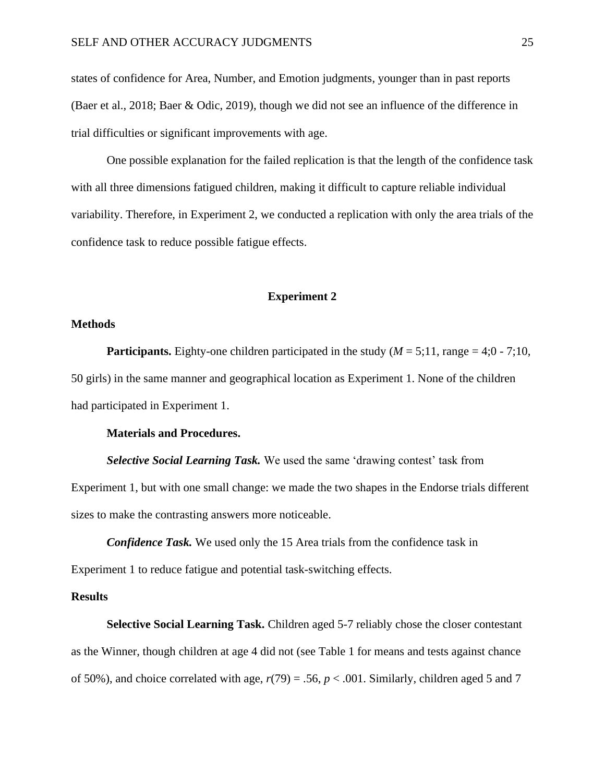states of confidence for Area, Number, and Emotion judgments, younger than in past reports (Baer et al., 2018; Baer & Odic, 2019), though we did not see an influence of the difference in trial difficulties or significant improvements with age.

One possible explanation for the failed replication is that the length of the confidence task with all three dimensions fatigued children, making it difficult to capture reliable individual variability. Therefore, in Experiment 2, we conducted a replication with only the area trials of the confidence task to reduce possible fatigue effects.

#### **Experiment 2**

#### **Methods**

**Participants.** Eighty-one children participated in the study  $(M = 5;11$ , range = 4;0 - 7;10, 50 girls) in the same manner and geographical location as Experiment 1. None of the children had participated in Experiment 1.

# **Materials and Procedures.**

*Selective Social Learning Task.* We used the same 'drawing contest' task from Experiment 1, but with one small change: we made the two shapes in the Endorse trials different sizes to make the contrasting answers more noticeable.

*Confidence Task.* We used only the 15 Area trials from the confidence task in Experiment 1 to reduce fatigue and potential task-switching effects.

#### **Results**

**Selective Social Learning Task.** Children aged 5-7 reliably chose the closer contestant as the Winner, though children at age 4 did not (see Table 1 for means and tests against chance of 50%), and choice correlated with age,  $r(79) = .56$ ,  $p < .001$ . Similarly, children aged 5 and 7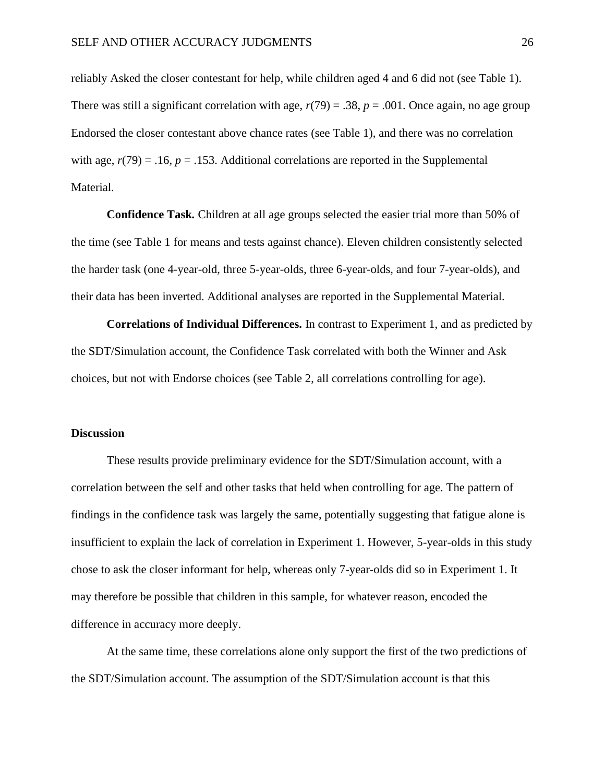reliably Asked the closer contestant for help, while children aged 4 and 6 did not (see Table 1). There was still a significant correlation with age,  $r(79) = .38$ ,  $p = .001$ . Once again, no age group Endorsed the closer contestant above chance rates (see Table 1), and there was no correlation with age,  $r(79) = .16$ ,  $p = .153$ . Additional correlations are reported in the Supplemental Material.

**Confidence Task***.* Children at all age groups selected the easier trial more than 50% of the time (see Table 1 for means and tests against chance). Eleven children consistently selected the harder task (one 4-year-old, three 5-year-olds, three 6-year-olds, and four 7-year-olds), and their data has been inverted. Additional analyses are reported in the Supplemental Material.

**Correlations of Individual Differences.** In contrast to Experiment 1, and as predicted by the SDT/Simulation account, the Confidence Task correlated with both the Winner and Ask choices, but not with Endorse choices (see Table 2, all correlations controlling for age).

#### **Discussion**

These results provide preliminary evidence for the SDT/Simulation account, with a correlation between the self and other tasks that held when controlling for age. The pattern of findings in the confidence task was largely the same, potentially suggesting that fatigue alone is insufficient to explain the lack of correlation in Experiment 1. However, 5-year-olds in this study chose to ask the closer informant for help, whereas only 7-year-olds did so in Experiment 1. It may therefore be possible that children in this sample, for whatever reason, encoded the difference in accuracy more deeply.

At the same time, these correlations alone only support the first of the two predictions of the SDT/Simulation account. The assumption of the SDT/Simulation account is that this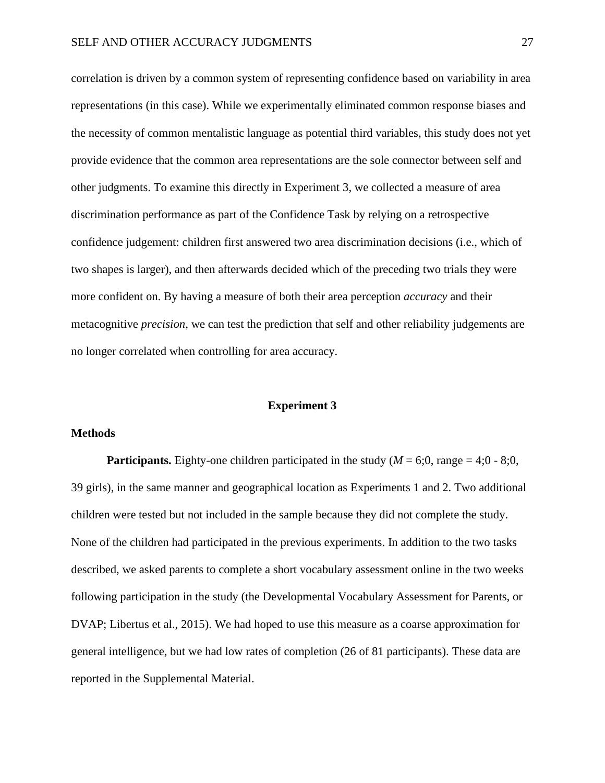correlation is driven by a common system of representing confidence based on variability in area representations (in this case). While we experimentally eliminated common response biases and the necessity of common mentalistic language as potential third variables, this study does not yet provide evidence that the common area representations are the sole connector between self and other judgments. To examine this directly in Experiment 3, we collected a measure of area discrimination performance as part of the Confidence Task by relying on a retrospective confidence judgement: children first answered two area discrimination decisions (i.e., which of two shapes is larger), and then afterwards decided which of the preceding two trials they were more confident on. By having a measure of both their area perception *accuracy* and their metacognitive *precision*, we can test the prediction that self and other reliability judgements are no longer correlated when controlling for area accuracy.

#### **Experiment 3**

# **Methods**

**Participants.** Eighty-one children participated in the study ( $M = 6;0$ , range = 4;0 - 8;0, 39 girls), in the same manner and geographical location as Experiments 1 and 2. Two additional children were tested but not included in the sample because they did not complete the study. None of the children had participated in the previous experiments. In addition to the two tasks described, we asked parents to complete a short vocabulary assessment online in the two weeks following participation in the study (the Developmental Vocabulary Assessment for Parents, or DVAP; Libertus et al., 2015). We had hoped to use this measure as a coarse approximation for general intelligence, but we had low rates of completion (26 of 81 participants). These data are reported in the Supplemental Material.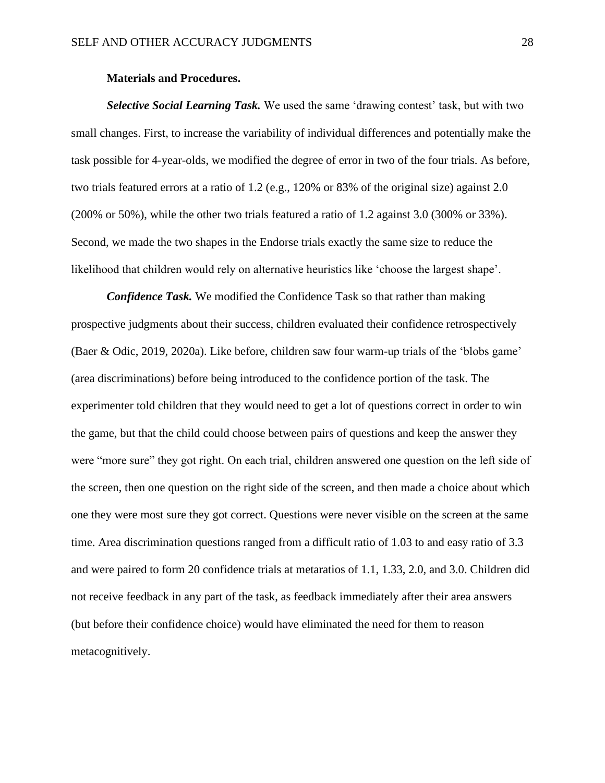#### **Materials and Procedures.**

*Selective Social Learning Task.* We used the same 'drawing contest' task, but with two small changes. First, to increase the variability of individual differences and potentially make the task possible for 4-year-olds, we modified the degree of error in two of the four trials. As before, two trials featured errors at a ratio of 1.2 (e.g., 120% or 83% of the original size) against 2.0 (200% or 50%), while the other two trials featured a ratio of 1.2 against 3.0 (300% or 33%). Second, we made the two shapes in the Endorse trials exactly the same size to reduce the likelihood that children would rely on alternative heuristics like 'choose the largest shape'.

*Confidence Task.* We modified the Confidence Task so that rather than making prospective judgments about their success, children evaluated their confidence retrospectively (Baer & Odic, 2019, 2020a). Like before, children saw four warm-up trials of the 'blobs game' (area discriminations) before being introduced to the confidence portion of the task. The experimenter told children that they would need to get a lot of questions correct in order to win the game, but that the child could choose between pairs of questions and keep the answer they were "more sure" they got right. On each trial, children answered one question on the left side of the screen, then one question on the right side of the screen, and then made a choice about which one they were most sure they got correct. Questions were never visible on the screen at the same time. Area discrimination questions ranged from a difficult ratio of 1.03 to and easy ratio of 3.3 and were paired to form 20 confidence trials at metaratios of 1.1, 1.33, 2.0, and 3.0. Children did not receive feedback in any part of the task, as feedback immediately after their area answers (but before their confidence choice) would have eliminated the need for them to reason metacognitively.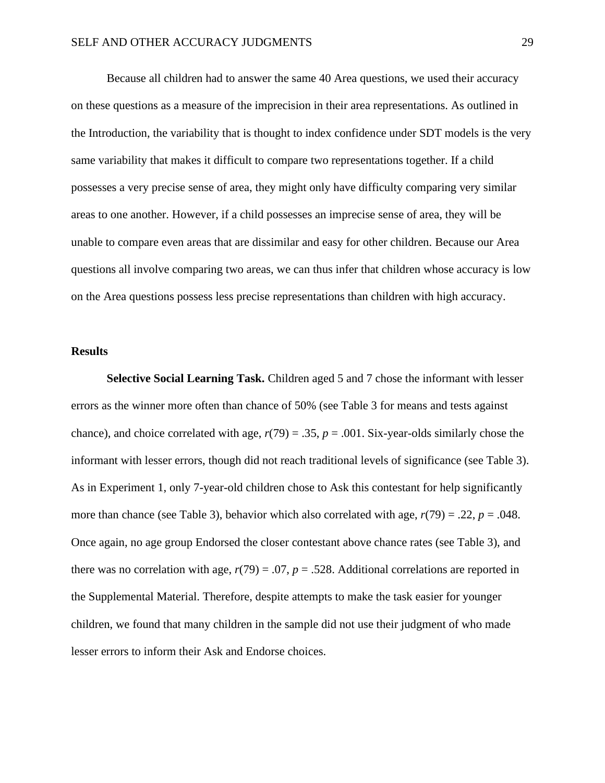Because all children had to answer the same 40 Area questions, we used their accuracy on these questions as a measure of the imprecision in their area representations. As outlined in the Introduction, the variability that is thought to index confidence under SDT models is the very same variability that makes it difficult to compare two representations together. If a child possesses a very precise sense of area, they might only have difficulty comparing very similar areas to one another. However, if a child possesses an imprecise sense of area, they will be unable to compare even areas that are dissimilar and easy for other children. Because our Area questions all involve comparing two areas, we can thus infer that children whose accuracy is low on the Area questions possess less precise representations than children with high accuracy.

#### **Results**

**Selective Social Learning Task.** Children aged 5 and 7 chose the informant with lesser errors as the winner more often than chance of 50% (see Table 3 for means and tests against chance), and choice correlated with age,  $r(79) = .35$ ,  $p = .001$ . Six-year-olds similarly chose the informant with lesser errors, though did not reach traditional levels of significance (see Table 3). As in Experiment 1, only 7-year-old children chose to Ask this contestant for help significantly more than chance (see Table 3), behavior which also correlated with age,  $r(79) = .22$ ,  $p = .048$ . Once again, no age group Endorsed the closer contestant above chance rates (see Table 3), and there was no correlation with age,  $r(79) = .07$ ,  $p = .528$ . Additional correlations are reported in the Supplemental Material. Therefore, despite attempts to make the task easier for younger children, we found that many children in the sample did not use their judgment of who made lesser errors to inform their Ask and Endorse choices.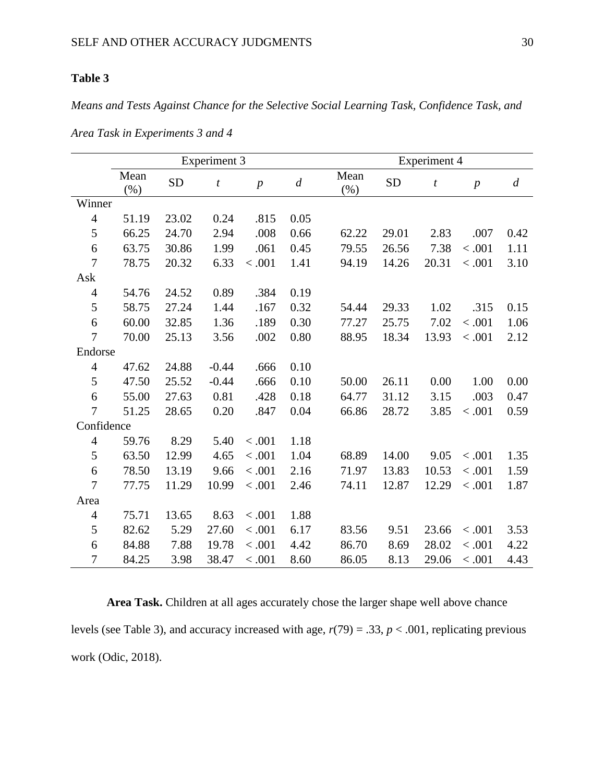# **Table 3**

*Means and Tests Against Chance for the Selective Social Learning Task, Confidence Task, and* 

|                | <b>Experiment 3</b> |           |                  |                  |                  | <b>Experiment 4</b> |           |                  |                  |                  |
|----------------|---------------------|-----------|------------------|------------------|------------------|---------------------|-----------|------------------|------------------|------------------|
|                | Mean<br>(% )        | <b>SD</b> | $\boldsymbol{t}$ | $\boldsymbol{p}$ | $\boldsymbol{d}$ | Mean<br>(% )        | <b>SD</b> | $\boldsymbol{t}$ | $\boldsymbol{p}$ | $\boldsymbol{d}$ |
| Winner         |                     |           |                  |                  |                  |                     |           |                  |                  |                  |
| $\overline{4}$ | 51.19               | 23.02     | 0.24             | .815             | 0.05             |                     |           |                  |                  |                  |
| 5              | 66.25               | 24.70     | 2.94             | .008             | 0.66             | 62.22               | 29.01     | 2.83             | .007             | 0.42             |
| 6              | 63.75               | 30.86     | 1.99             | .061             | 0.45             | 79.55               | 26.56     | 7.38             | < .001           | 1.11             |
| $\overline{7}$ | 78.75               | 20.32     | 6.33             | < .001           | 1.41             | 94.19               | 14.26     | 20.31            | < .001           | 3.10             |
| Ask            |                     |           |                  |                  |                  |                     |           |                  |                  |                  |
| $\overline{4}$ | 54.76               | 24.52     | 0.89             | .384             | 0.19             |                     |           |                  |                  |                  |
| 5              | 58.75               | 27.24     | 1.44             | .167             | 0.32             | 54.44               | 29.33     | 1.02             | .315             | 0.15             |
| 6              | 60.00               | 32.85     | 1.36             | .189             | 0.30             | 77.27               | 25.75     | 7.02             | < .001           | 1.06             |
| $\overline{7}$ | 70.00               | 25.13     | 3.56             | .002             | 0.80             | 88.95               | 18.34     | 13.93            | < .001           | 2.12             |
| Endorse        |                     |           |                  |                  |                  |                     |           |                  |                  |                  |
| $\overline{4}$ | 47.62               | 24.88     | $-0.44$          | .666             | 0.10             |                     |           |                  |                  |                  |
| 5              | 47.50               | 25.52     | $-0.44$          | .666             | 0.10             | 50.00               | 26.11     | 0.00             | 1.00             | 0.00             |
| 6              | 55.00               | 27.63     | 0.81             | .428             | 0.18             | 64.77               | 31.12     | 3.15             | .003             | 0.47             |
| $\overline{7}$ | 51.25               | 28.65     | 0.20             | .847             | 0.04             | 66.86               | 28.72     | 3.85             | < .001           | 0.59             |
| Confidence     |                     |           |                  |                  |                  |                     |           |                  |                  |                  |
| $\overline{4}$ | 59.76               | 8.29      | 5.40             | < .001           | 1.18             |                     |           |                  |                  |                  |
| 5              | 63.50               | 12.99     | 4.65             | < .001           | 1.04             | 68.89               | 14.00     | 9.05             | < .001           | 1.35             |
| 6              | 78.50               | 13.19     | 9.66             | < .001           | 2.16             | 71.97               | 13.83     | 10.53            | < .001           | 1.59             |
| $\overline{7}$ | 77.75               | 11.29     | 10.99            | < .001           | 2.46             | 74.11               | 12.87     | 12.29            | < .001           | 1.87             |
| Area           |                     |           |                  |                  |                  |                     |           |                  |                  |                  |
| 4              | 75.71               | 13.65     | 8.63             | < .001           | 1.88             |                     |           |                  |                  |                  |
| 5              | 82.62               | 5.29      | 27.60            | < .001           | 6.17             | 83.56               | 9.51      | 23.66            | < .001           | 3.53             |
| 6              | 84.88               | 7.88      | 19.78            | < .001           | 4.42             | 86.70               | 8.69      | 28.02            | < .001           | 4.22             |
| 7              | 84.25               | 3.98      | 38.47            | < .001           | 8.60             | 86.05               | 8.13      | 29.06            | < .001           | 4.43             |

*Area Task in Experiments 3 and 4*

**Area Task.** Children at all ages accurately chose the larger shape well above chance levels (see Table 3), and accuracy increased with age, *r*(79) = .33, *p* < .001, replicating previous work (Odic, 2018).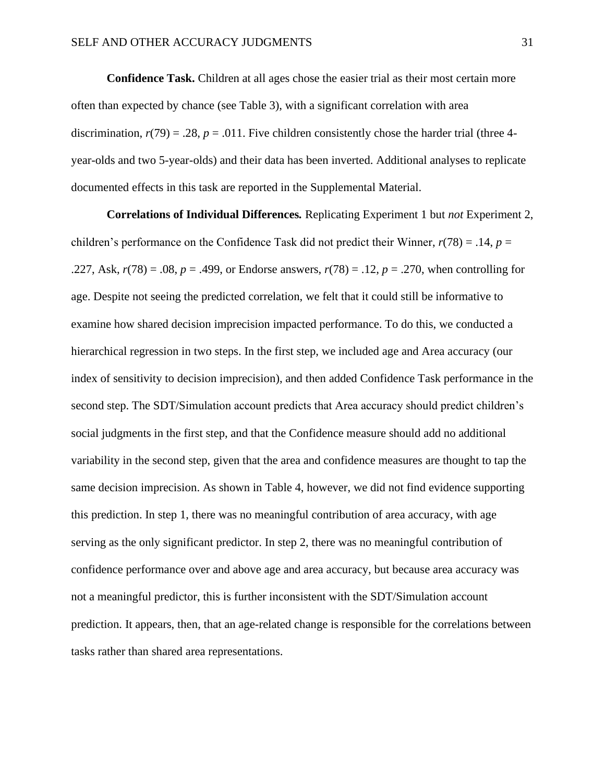**Confidence Task.** Children at all ages chose the easier trial as their most certain more often than expected by chance (see Table 3), with a significant correlation with area discrimination,  $r(79) = .28$ ,  $p = .011$ . Five children consistently chose the harder trial (three 4year-olds and two 5-year-olds) and their data has been inverted. Additional analyses to replicate documented effects in this task are reported in the Supplemental Material.

**Correlations of Individual Differences***.* Replicating Experiment 1 but *not* Experiment 2, children's performance on the Confidence Task did not predict their Winner,  $r(78) = .14$ ,  $p =$ .227, Ask, *r*(78) = .08, *p* = .499, or Endorse answers, *r*(78) = .12, *p* = .270, when controlling for age. Despite not seeing the predicted correlation, we felt that it could still be informative to examine how shared decision imprecision impacted performance. To do this, we conducted a hierarchical regression in two steps. In the first step, we included age and Area accuracy (our index of sensitivity to decision imprecision), and then added Confidence Task performance in the second step. The SDT/Simulation account predicts that Area accuracy should predict children's social judgments in the first step, and that the Confidence measure should add no additional variability in the second step, given that the area and confidence measures are thought to tap the same decision imprecision. As shown in Table 4, however, we did not find evidence supporting this prediction. In step 1, there was no meaningful contribution of area accuracy, with age serving as the only significant predictor. In step 2, there was no meaningful contribution of confidence performance over and above age and area accuracy, but because area accuracy was not a meaningful predictor, this is further inconsistent with the SDT/Simulation account prediction. It appears, then, that an age-related change is responsible for the correlations between tasks rather than shared area representations.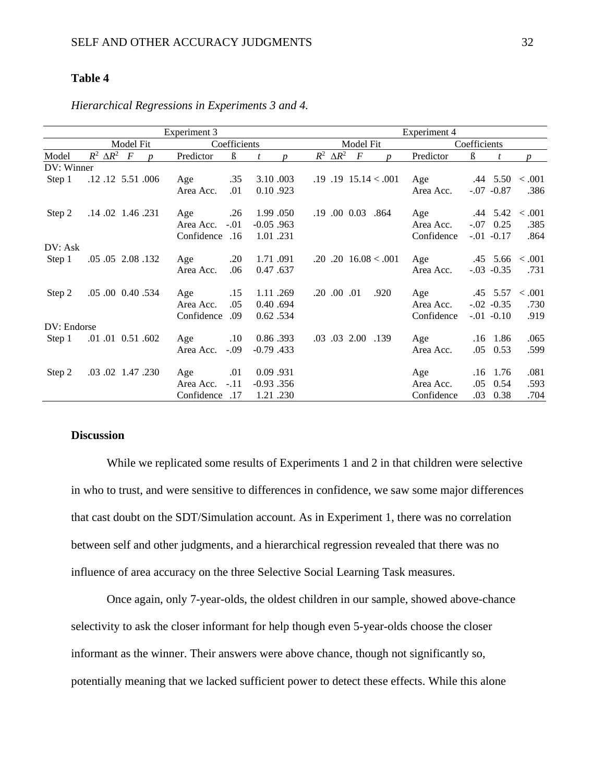# **Table 4**

|             |                                        | Experiment 3                      |                   |                                           | Experiment 4 |                           |        |
|-------------|----------------------------------------|-----------------------------------|-------------------|-------------------------------------------|--------------|---------------------------|--------|
|             | <b>Model Fit</b>                       | Coefficients                      |                   | <b>Model Fit</b>                          |              | Coefficients              |        |
| Model       | $R^2 \Delta R^2$ F<br>$\boldsymbol{n}$ | Predictor<br>$\boldsymbol{\beta}$ | t<br><sub>n</sub> | $R^2 \Delta R^2$<br>$\boldsymbol{F}$<br>n | Predictor    | $\boldsymbol{\beta}$<br>t | p      |
| DV: Winner  |                                        |                                   |                   |                                           |              |                           |        |
| Step 1      | .12 .12 5.51 .006                      | .35<br>Age                        | 3.10.003          | $.19$ $.19$ $15.14 < .001$                | Age          | $.44$ 5.50 $< .001$       |        |
|             |                                        | Area Acc.<br>.01                  | 0.10.923          |                                           | Area Acc.    | $-.07$ $-.0.87$           | .386   |
| Step 2      | .14.02 1.46 .231                       | .26<br>Age                        | 1.99.050          | .19 .00 0.03 .864                         | Age          | $.44$ 5.42 < 001          |        |
|             |                                        | $-.01$<br>Area Acc.               | $-0.05$ .963      |                                           | Area Acc.    | 0.25<br>$-.07$            | .385   |
|             |                                        | Confidence .16                    | 1.01.231          |                                           | Confidence   | $-0.1 - 0.17$             | .864   |
| DV: Ask     |                                        |                                   |                   |                                           |              |                           |        |
| Step 1      | .05 .05 2.08 .132                      | .20<br>Age                        | 1.71.091          | $.20$ $.20$ $16.08 < .001$                | Age          | $.45$ 5.66 $< .001$       |        |
|             |                                        | Area Acc.<br>.06                  | 0.47.637          |                                           | Area Acc.    | $-0.03 - 0.35$            | .731   |
| Step 2      | .05 .00 0.40 .534                      | .15<br>Age                        | 1.11.269          | $.20$ $.00$ $.01$<br>.920                 | Age          | .45 5.57                  | < .001 |
|             |                                        | .05<br>Area Acc.                  | 0.40.694          |                                           | Area Acc.    | $-0.02 - 0.35$            | .730   |
|             |                                        | Confidence<br>.09                 | 0.62 .534         |                                           | Confidence   | $-.01$ $-.0.10$           | .919   |
| DV: Endorse |                                        |                                   |                   |                                           |              |                           |        |
| Step 1      | .01 .01 0.51 .602                      | $.10\,$<br>Age                    | 0.86.393          | .03 .03 2.00 .139                         | Age          | .16 1.86                  | .065   |
|             |                                        | $-.09$<br>Area Acc.               | $-0.79$ .433      |                                           | Area Acc.    | .05<br>0.53               | .599   |
| Step 2      | .03.02 1.47 .230                       | .01<br>Age                        | 0.09.931          |                                           | Age          | 1.76<br>.16               | .081   |
|             |                                        | $-.11$<br>Area Acc.               | $-0.93$ .356      |                                           | Area Acc.    | .05<br>0.54               | .593   |
|             |                                        | Confidence .17                    | 1.21.230          |                                           | Confidence   | 0.38<br>.03               | .704   |

*Hierarchical Regressions in Experiments 3 and 4.*

# **Discussion**

While we replicated some results of Experiments 1 and 2 in that children were selective in who to trust, and were sensitive to differences in confidence, we saw some major differences that cast doubt on the SDT/Simulation account. As in Experiment 1, there was no correlation between self and other judgments, and a hierarchical regression revealed that there was no influence of area accuracy on the three Selective Social Learning Task measures.

Once again, only 7-year-olds, the oldest children in our sample, showed above-chance selectivity to ask the closer informant for help though even 5-year-olds choose the closer informant as the winner. Their answers were above chance, though not significantly so, potentially meaning that we lacked sufficient power to detect these effects. While this alone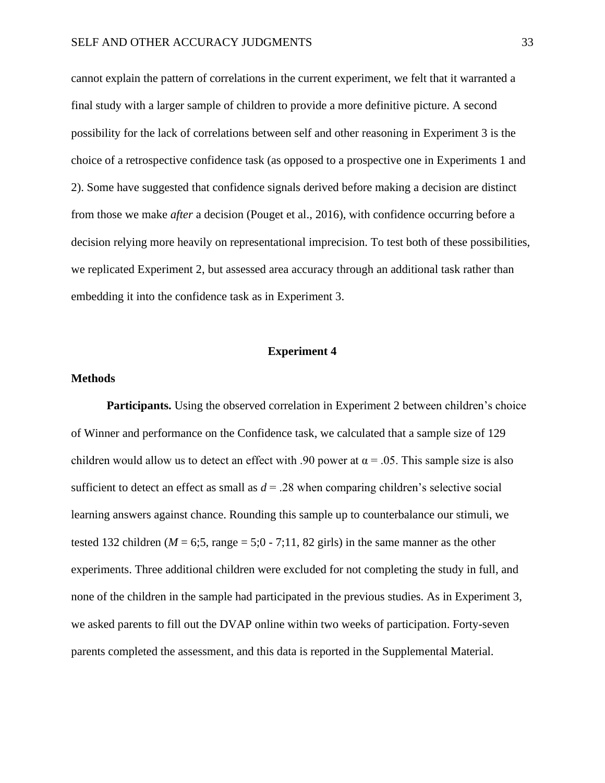cannot explain the pattern of correlations in the current experiment, we felt that it warranted a final study with a larger sample of children to provide a more definitive picture. A second possibility for the lack of correlations between self and other reasoning in Experiment 3 is the choice of a retrospective confidence task (as opposed to a prospective one in Experiments 1 and 2). Some have suggested that confidence signals derived before making a decision are distinct from those we make *after* a decision (Pouget et al., 2016), with confidence occurring before a decision relying more heavily on representational imprecision. To test both of these possibilities, we replicated Experiment 2, but assessed area accuracy through an additional task rather than embedding it into the confidence task as in Experiment 3.

#### **Experiment 4**

#### **Methods**

**Participants.** Using the observed correlation in Experiment 2 between children's choice of Winner and performance on the Confidence task, we calculated that a sample size of 129 children would allow us to detect an effect with .90 power at  $\alpha = .05$ . This sample size is also sufficient to detect an effect as small as  $d = 0.28$  when comparing children's selective social learning answers against chance. Rounding this sample up to counterbalance our stimuli, we tested 132 children ( $M = 6.5$ , range  $= 5.0 - 7.11$ , 82 girls) in the same manner as the other experiments. Three additional children were excluded for not completing the study in full, and none of the children in the sample had participated in the previous studies. As in Experiment 3, we asked parents to fill out the DVAP online within two weeks of participation. Forty-seven parents completed the assessment, and this data is reported in the Supplemental Material.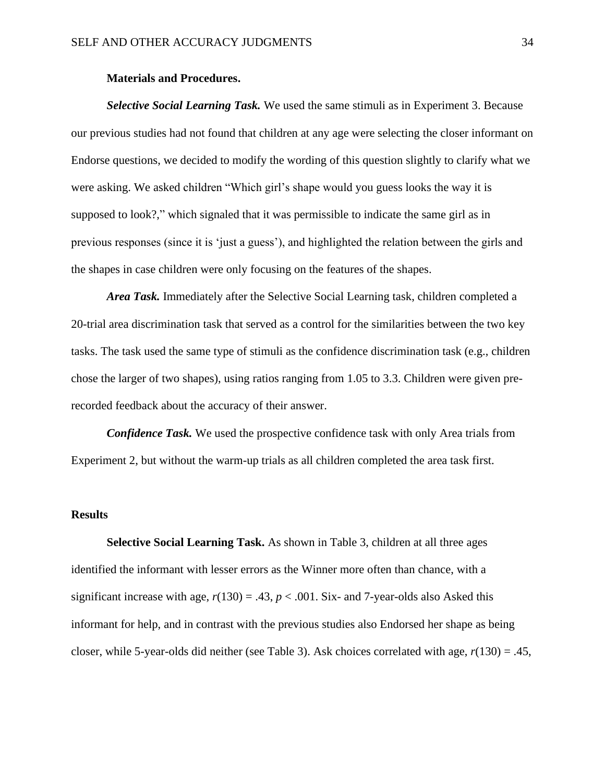#### **Materials and Procedures.**

*Selective Social Learning Task.* We used the same stimuli as in Experiment 3. Because our previous studies had not found that children at any age were selecting the closer informant on Endorse questions, we decided to modify the wording of this question slightly to clarify what we were asking. We asked children "Which girl's shape would you guess looks the way it is supposed to look?," which signaled that it was permissible to indicate the same girl as in previous responses (since it is 'just a guess'), and highlighted the relation between the girls and the shapes in case children were only focusing on the features of the shapes.

*Area Task.* Immediately after the Selective Social Learning task, children completed a 20-trial area discrimination task that served as a control for the similarities between the two key tasks. The task used the same type of stimuli as the confidence discrimination task (e.g., children chose the larger of two shapes), using ratios ranging from 1.05 to 3.3. Children were given prerecorded feedback about the accuracy of their answer.

*Confidence Task.* We used the prospective confidence task with only Area trials from Experiment 2, but without the warm-up trials as all children completed the area task first.

## **Results**

**Selective Social Learning Task.** As shown in Table 3, children at all three ages identified the informant with lesser errors as the Winner more often than chance, with a significant increase with age,  $r(130) = .43$ ,  $p < .001$ . Six- and 7-year-olds also Asked this informant for help, and in contrast with the previous studies also Endorsed her shape as being closer, while 5-year-olds did neither (see Table 3). Ask choices correlated with age, *r*(130) = .45,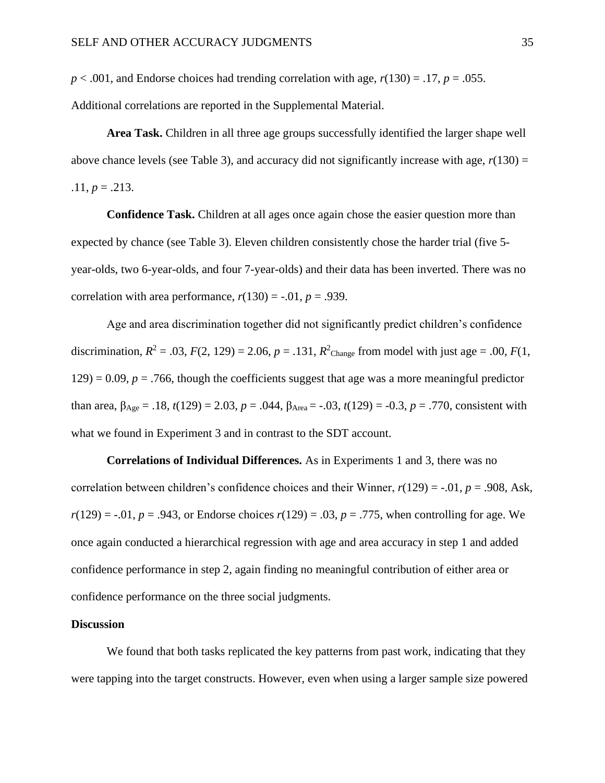$p < .001$ , and Endorse choices had trending correlation with age,  $r(130) = .17$ ,  $p = .055$ .

Additional correlations are reported in the Supplemental Material.

**Area Task.** Children in all three age groups successfully identified the larger shape well above chance levels (see Table 3), and accuracy did not significantly increase with age,  $r(130) =$  $.11, p = .213.$ 

**Confidence Task.** Children at all ages once again chose the easier question more than expected by chance (see Table 3). Eleven children consistently chose the harder trial (five 5 year-olds, two 6-year-olds, and four 7-year-olds) and their data has been inverted. There was no correlation with area performance,  $r(130) = -0.01$ ,  $p = 0.939$ .

Age and area discrimination together did not significantly predict children's confidence discrimination,  $R^2 = .03$ ,  $F(2, 129) = 2.06$ ,  $p = .131$ ,  $R^2$ <sub>Change</sub> from model with just age = .00,  $F(1, 16)$  $129$ ) = 0.09,  $p = .766$ , though the coefficients suggest that age was a more meaningful predictor than area,  $β_{Age} = .18$ ,  $t(129) = 2.03$ ,  $p = .044$ ,  $β_{Area} = -.03$ ,  $t(129) = .0.3$ ,  $p = .770$ , consistent with what we found in Experiment 3 and in contrast to the SDT account.

**Correlations of Individual Differences.** As in Experiments 1 and 3, there was no correlation between children's confidence choices and their Winner,  $r(129) = -0.01$ ,  $p = 0.908$ , Ask,  $r(129) = -0.01$ ,  $p = 0.943$ , or Endorse choices  $r(129) = 0.03$ ,  $p = 0.775$ , when controlling for age. We once again conducted a hierarchical regression with age and area accuracy in step 1 and added confidence performance in step 2, again finding no meaningful contribution of either area or confidence performance on the three social judgments.

#### **Discussion**

We found that both tasks replicated the key patterns from past work, indicating that they were tapping into the target constructs. However, even when using a larger sample size powered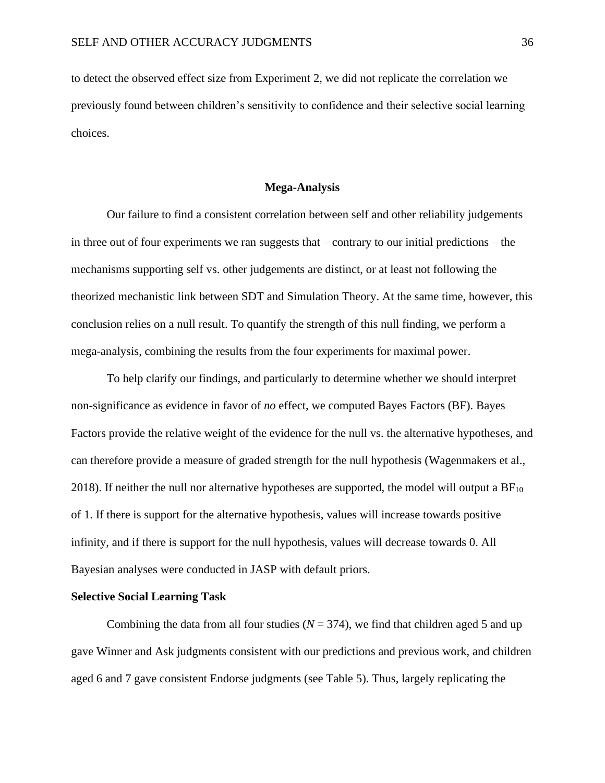to detect the observed effect size from Experiment 2, we did not replicate the correlation we previously found between children's sensitivity to confidence and their selective social learning choices.

#### **Mega-Analysis**

Our failure to find a consistent correlation between self and other reliability judgements in three out of four experiments we ran suggests that – contrary to our initial predictions – the mechanisms supporting self vs. other judgements are distinct, or at least not following the theorized mechanistic link between SDT and Simulation Theory. At the same time, however, this conclusion relies on a null result. To quantify the strength of this null finding, we perform a mega-analysis, combining the results from the four experiments for maximal power.

To help clarify our findings, and particularly to determine whether we should interpret non-significance as evidence in favor of *no* effect, we computed Bayes Factors (BF). Bayes Factors provide the relative weight of the evidence for the null vs. the alternative hypotheses, and can therefore provide a measure of graded strength for the null hypothesis (Wagenmakers et al., 2018). If neither the null nor alternative hypotheses are supported, the model will output a  $BF_{10}$ of 1. If there is support for the alternative hypothesis, values will increase towards positive infinity, and if there is support for the null hypothesis, values will decrease towards 0. All Bayesian analyses were conducted in JASP with default priors.

#### **Selective Social Learning Task**

Combining the data from all four studies  $(N = 374)$ , we find that children aged 5 and up gave Winner and Ask judgments consistent with our predictions and previous work, and children aged 6 and 7 gave consistent Endorse judgments (see Table 5). Thus, largely replicating the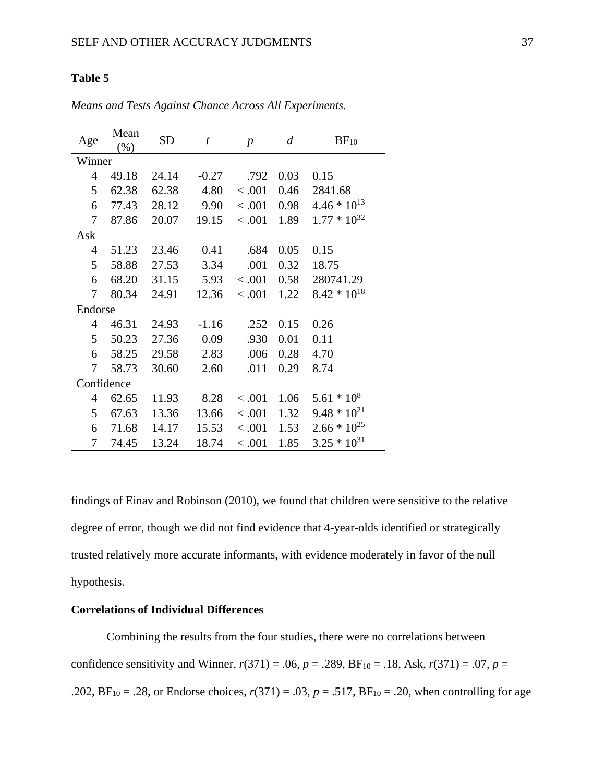# **Table 5**

| Age            | Mean<br>(% ) | <b>SD</b> | $\boldsymbol{t}$ | $\boldsymbol{p}$ | $\boldsymbol{d}$ | $BF_{10}$        |  |
|----------------|--------------|-----------|------------------|------------------|------------------|------------------|--|
| Winner         |              |           |                  |                  |                  |                  |  |
| $\overline{4}$ | 49.18        | 24.14     | $-0.27$          | .792             | 0.03             | 0.15             |  |
| 5              | 62.38        | 62.38     | 4.80             | < .001           | 0.46             | 2841.68          |  |
| 6              | 77.43        | 28.12     | 9.90             | < .001           | 0.98             | $4.46 * 10^{13}$ |  |
| 7              | 87.86        | 20.07     | 19.15            | < .001           | 1.89             | $1.77 * 10^{32}$ |  |
| Ask            |              |           |                  |                  |                  |                  |  |
| $\overline{4}$ | 51.23        | 23.46     | 0.41             | .684             | 0.05             | 0.15             |  |
| 5              | 58.88        | 27.53     | 3.34             | .001             | 0.32             | 18.75            |  |
| 6              | 68.20        | 31.15     | 5.93             | < .001           | 0.58             | 280741.29        |  |
| 7              | 80.34        | 24.91     | 12.36            | < .001           | 1.22             | $8.42 * 10^{18}$ |  |
| Endorse        |              |           |                  |                  |                  |                  |  |
| 4              | 46.31        | 24.93     | $-1.16$          | .252             | 0.15             | 0.26             |  |
| 5              | 50.23        | 27.36     | 0.09             | .930             | 0.01             | 0.11             |  |
| 6              | 58.25        | 29.58     | 2.83             | .006             | 0.28             | 4.70             |  |
| 7              | 58.73        | 30.60     | 2.60             | .011             | 0.29             | 8.74             |  |
| Confidence     |              |           |                  |                  |                  |                  |  |
| 4              | 62.65        | 11.93     | 8.28             | < .001           | 1.06             | $5.61 * 108$     |  |
| 5              | 67.63        | 13.36     | 13.66            | < .001           | 1.32             | $9.48 * 10^{21}$ |  |
| 6              | 71.68        | 14.17     | 15.53            | < .001           | 1.53             | $2.66 * 10^{25}$ |  |
| 7              | 74.45        | 13.24     | 18.74            | < .001           | 1.85             | $3.25 * 10^{31}$ |  |

*Means and Tests Against Chance Across All Experiments.*

findings of Einav and Robinson (2010), we found that children were sensitive to the relative degree of error, though we did not find evidence that 4-year-olds identified or strategically trusted relatively more accurate informants, with evidence moderately in favor of the null hypothesis.

# **Correlations of Individual Differences**

Combining the results from the four studies, there were no correlations between confidence sensitivity and Winner,  $r(371) = .06$ ,  $p = .289$ ,  $BF_{10} = .18$ , Ask,  $r(371) = .07$ ,  $p =$ .202,  $BF_{10} = .28$ , or Endorse choices,  $r(371) = .03$ ,  $p = .517$ ,  $BF_{10} = .20$ , when controlling for age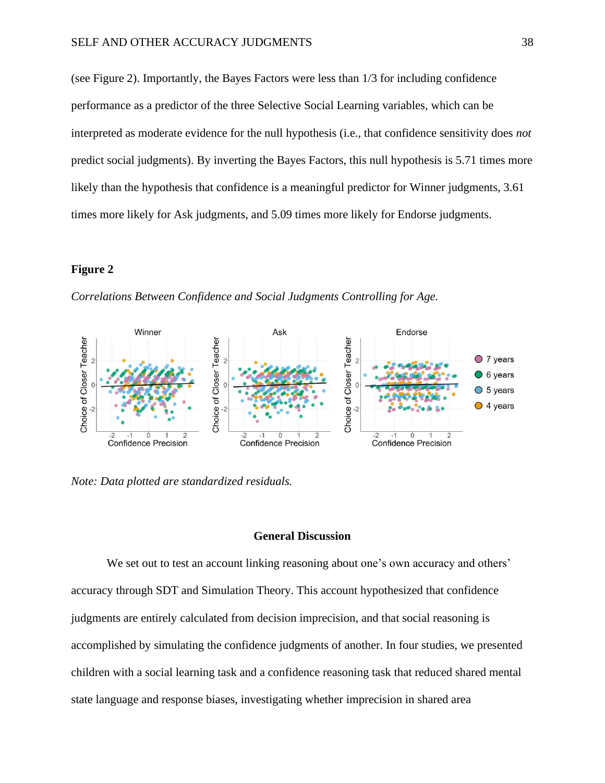(see Figure 2). Importantly, the Bayes Factors were less than 1/3 for including confidence performance as a predictor of the three Selective Social Learning variables, which can be interpreted as moderate evidence for the null hypothesis (i.e., that confidence sensitivity does *not* predict social judgments). By inverting the Bayes Factors, this null hypothesis is 5.71 times more likely than the hypothesis that confidence is a meaningful predictor for Winner judgments, 3.61 times more likely for Ask judgments, and 5.09 times more likely for Endorse judgments.

#### **Figure 2**

*Correlations Between Confidence and Social Judgments Controlling for Age.*



*Note: Data plotted are standardized residuals.*

#### **General Discussion**

We set out to test an account linking reasoning about one's own accuracy and others' accuracy through SDT and Simulation Theory. This account hypothesized that confidence judgments are entirely calculated from decision imprecision, and that social reasoning is accomplished by simulating the confidence judgments of another. In four studies, we presented children with a social learning task and a confidence reasoning task that reduced shared mental state language and response biases, investigating whether imprecision in shared area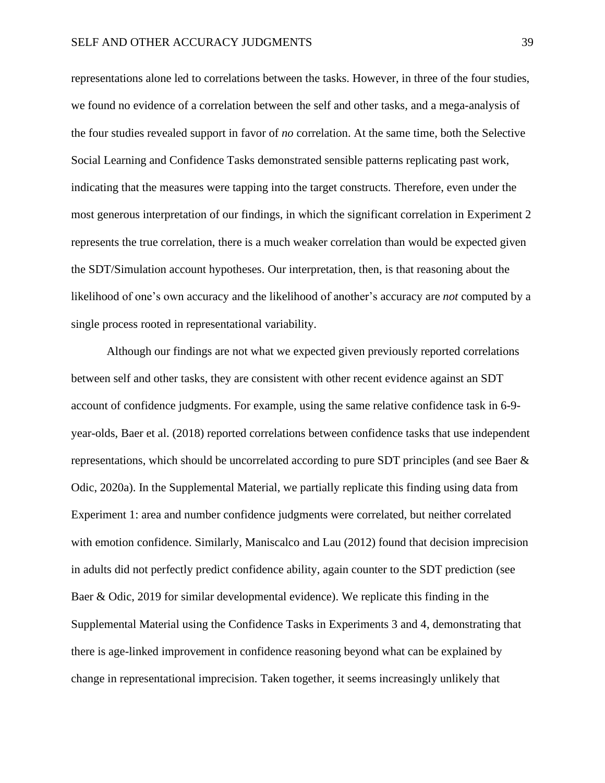representations alone led to correlations between the tasks. However, in three of the four studies, we found no evidence of a correlation between the self and other tasks, and a mega-analysis of the four studies revealed support in favor of *no* correlation. At the same time, both the Selective Social Learning and Confidence Tasks demonstrated sensible patterns replicating past work, indicating that the measures were tapping into the target constructs. Therefore, even under the most generous interpretation of our findings, in which the significant correlation in Experiment 2 represents the true correlation, there is a much weaker correlation than would be expected given the SDT/Simulation account hypotheses. Our interpretation, then, is that reasoning about the likelihood of one's own accuracy and the likelihood of another's accuracy are *not* computed by a single process rooted in representational variability.

Although our findings are not what we expected given previously reported correlations between self and other tasks, they are consistent with other recent evidence against an SDT account of confidence judgments. For example, using the same relative confidence task in 6-9 year-olds, Baer et al. (2018) reported correlations between confidence tasks that use independent representations, which should be uncorrelated according to pure SDT principles (and see Baer & Odic, 2020a). In the Supplemental Material, we partially replicate this finding using data from Experiment 1: area and number confidence judgments were correlated, but neither correlated with emotion confidence. Similarly, Maniscalco and Lau (2012) found that decision imprecision in adults did not perfectly predict confidence ability, again counter to the SDT prediction (see Baer & Odic, 2019 for similar developmental evidence). We replicate this finding in the Supplemental Material using the Confidence Tasks in Experiments 3 and 4, demonstrating that there is age-linked improvement in confidence reasoning beyond what can be explained by change in representational imprecision. Taken together, it seems increasingly unlikely that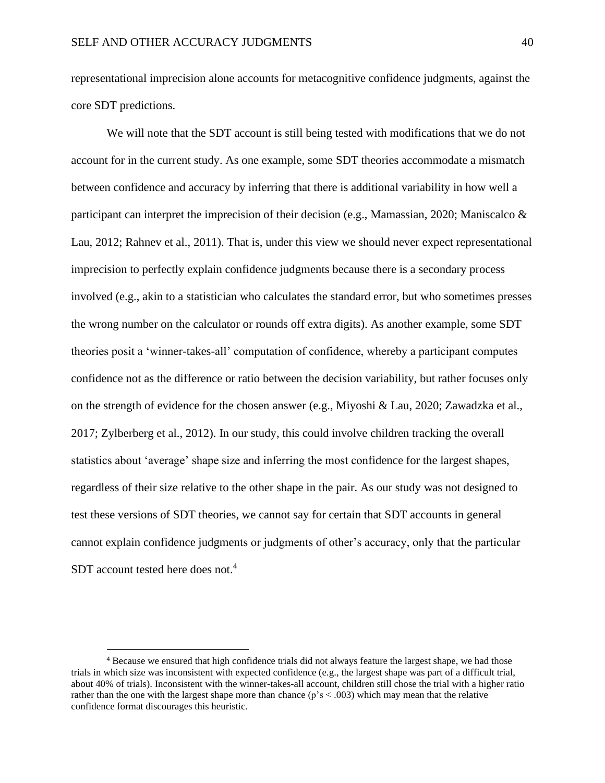representational imprecision alone accounts for metacognitive confidence judgments, against the core SDT predictions.

We will note that the SDT account is still being tested with modifications that we do not account for in the current study. As one example, some SDT theories accommodate a mismatch between confidence and accuracy by inferring that there is additional variability in how well a participant can interpret the imprecision of their decision (e.g., Mamassian, 2020; Maniscalco & Lau, 2012; Rahnev et al., 2011). That is, under this view we should never expect representational imprecision to perfectly explain confidence judgments because there is a secondary process involved (e.g., akin to a statistician who calculates the standard error, but who sometimes presses the wrong number on the calculator or rounds off extra digits). As another example, some SDT theories posit a 'winner-takes-all' computation of confidence, whereby a participant computes confidence not as the difference or ratio between the decision variability, but rather focuses only on the strength of evidence for the chosen answer (e.g., Miyoshi & Lau, 2020; Zawadzka et al., 2017; Zylberberg et al., 2012). In our study, this could involve children tracking the overall statistics about 'average' shape size and inferring the most confidence for the largest shapes, regardless of their size relative to the other shape in the pair. As our study was not designed to test these versions of SDT theories, we cannot say for certain that SDT accounts in general cannot explain confidence judgments or judgments of other's accuracy, only that the particular SDT account tested here does not.<sup>4</sup>

<sup>4</sup> Because we ensured that high confidence trials did not always feature the largest shape, we had those trials in which size was inconsistent with expected confidence (e.g., the largest shape was part of a difficult trial, about 40% of trials). Inconsistent with the winner-takes-all account, children still chose the trial with a higher ratio rather than the one with the largest shape more than chance ( $p's < .003$ ) which may mean that the relative confidence format discourages this heuristic.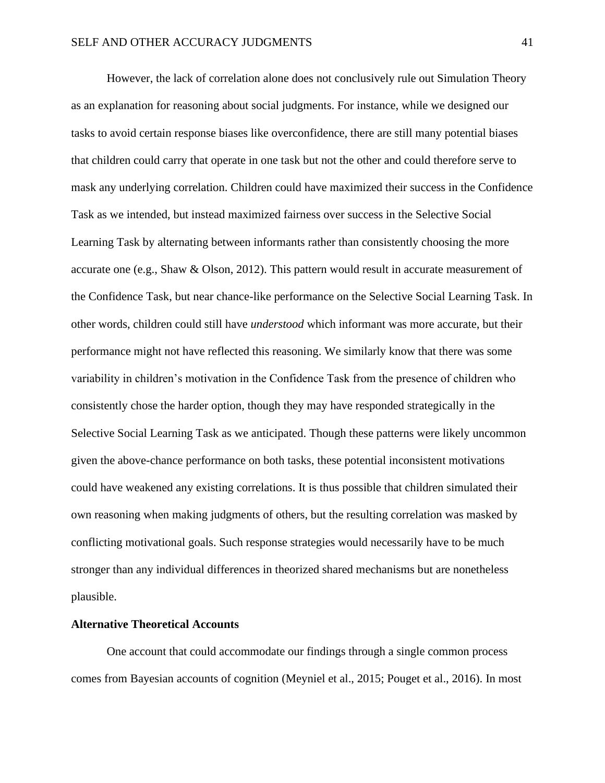However, the lack of correlation alone does not conclusively rule out Simulation Theory as an explanation for reasoning about social judgments. For instance, while we designed our tasks to avoid certain response biases like overconfidence, there are still many potential biases that children could carry that operate in one task but not the other and could therefore serve to mask any underlying correlation. Children could have maximized their success in the Confidence Task as we intended, but instead maximized fairness over success in the Selective Social Learning Task by alternating between informants rather than consistently choosing the more accurate one (e.g., Shaw & Olson, 2012). This pattern would result in accurate measurement of the Confidence Task, but near chance-like performance on the Selective Social Learning Task. In other words, children could still have *understood* which informant was more accurate, but their performance might not have reflected this reasoning. We similarly know that there was some variability in children's motivation in the Confidence Task from the presence of children who consistently chose the harder option, though they may have responded strategically in the Selective Social Learning Task as we anticipated. Though these patterns were likely uncommon given the above-chance performance on both tasks, these potential inconsistent motivations could have weakened any existing correlations. It is thus possible that children simulated their own reasoning when making judgments of others, but the resulting correlation was masked by conflicting motivational goals. Such response strategies would necessarily have to be much stronger than any individual differences in theorized shared mechanisms but are nonetheless plausible.

#### **Alternative Theoretical Accounts**

One account that could accommodate our findings through a single common process comes from Bayesian accounts of cognition (Meyniel et al., 2015; Pouget et al., 2016). In most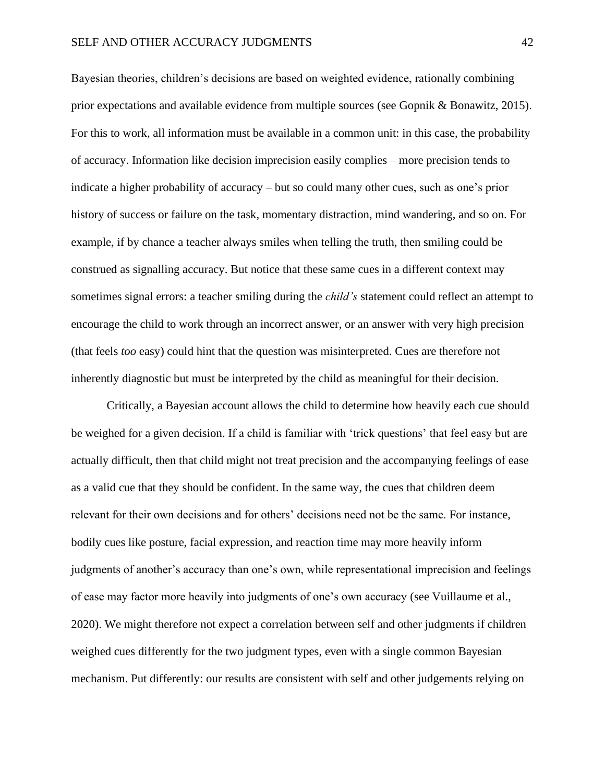Bayesian theories, children's decisions are based on weighted evidence, rationally combining prior expectations and available evidence from multiple sources (see Gopnik & Bonawitz, 2015). For this to work, all information must be available in a common unit: in this case, the probability of accuracy. Information like decision imprecision easily complies – more precision tends to indicate a higher probability of accuracy – but so could many other cues, such as one's prior history of success or failure on the task, momentary distraction, mind wandering, and so on. For example, if by chance a teacher always smiles when telling the truth, then smiling could be construed as signalling accuracy. But notice that these same cues in a different context may sometimes signal errors: a teacher smiling during the *child's* statement could reflect an attempt to encourage the child to work through an incorrect answer, or an answer with very high precision (that feels *too* easy) could hint that the question was misinterpreted. Cues are therefore not inherently diagnostic but must be interpreted by the child as meaningful for their decision.

Critically, a Bayesian account allows the child to determine how heavily each cue should be weighed for a given decision. If a child is familiar with 'trick questions' that feel easy but are actually difficult, then that child might not treat precision and the accompanying feelings of ease as a valid cue that they should be confident. In the same way, the cues that children deem relevant for their own decisions and for others' decisions need not be the same. For instance, bodily cues like posture, facial expression, and reaction time may more heavily inform judgments of another's accuracy than one's own, while representational imprecision and feelings of ease may factor more heavily into judgments of one's own accuracy (see Vuillaume et al., 2020). We might therefore not expect a correlation between self and other judgments if children weighed cues differently for the two judgment types, even with a single common Bayesian mechanism. Put differently: our results are consistent with self and other judgements relying on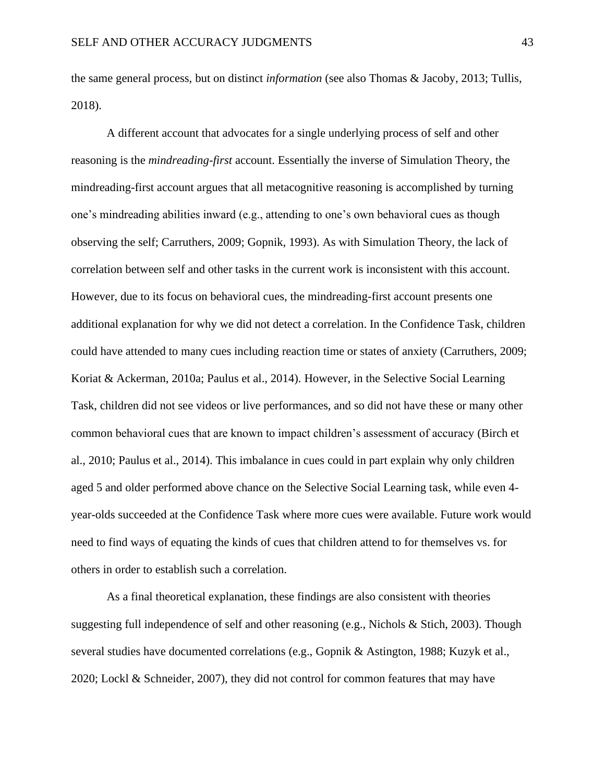the same general process, but on distinct *information* (see also Thomas & Jacoby, 2013; Tullis, 2018).

A different account that advocates for a single underlying process of self and other reasoning is the *mindreading-first* account. Essentially the inverse of Simulation Theory, the mindreading-first account argues that all metacognitive reasoning is accomplished by turning one's mindreading abilities inward (e.g., attending to one's own behavioral cues as though observing the self; Carruthers, 2009; Gopnik, 1993). As with Simulation Theory, the lack of correlation between self and other tasks in the current work is inconsistent with this account. However, due to its focus on behavioral cues, the mindreading-first account presents one additional explanation for why we did not detect a correlation. In the Confidence Task, children could have attended to many cues including reaction time or states of anxiety (Carruthers, 2009; Koriat & Ackerman, 2010a; Paulus et al., 2014). However, in the Selective Social Learning Task, children did not see videos or live performances, and so did not have these or many other common behavioral cues that are known to impact children's assessment of accuracy (Birch et al., 2010; Paulus et al., 2014). This imbalance in cues could in part explain why only children aged 5 and older performed above chance on the Selective Social Learning task, while even 4 year-olds succeeded at the Confidence Task where more cues were available. Future work would need to find ways of equating the kinds of cues that children attend to for themselves vs. for others in order to establish such a correlation.

As a final theoretical explanation, these findings are also consistent with theories suggesting full independence of self and other reasoning (e.g., Nichols & Stich, 2003). Though several studies have documented correlations (e.g., Gopnik & Astington, 1988; Kuzyk et al., 2020; Lockl & Schneider, 2007), they did not control for common features that may have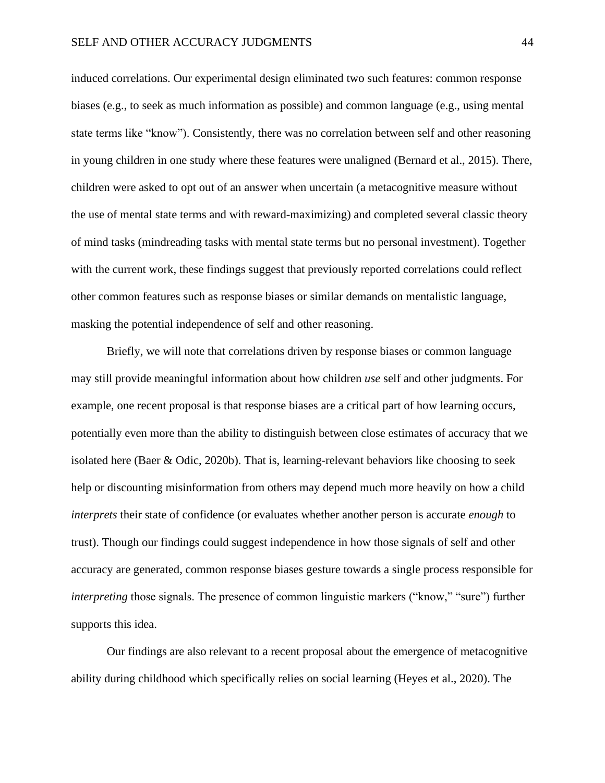induced correlations. Our experimental design eliminated two such features: common response biases (e.g., to seek as much information as possible) and common language (e.g., using mental state terms like "know"). Consistently, there was no correlation between self and other reasoning in young children in one study where these features were unaligned (Bernard et al., 2015). There, children were asked to opt out of an answer when uncertain (a metacognitive measure without the use of mental state terms and with reward-maximizing) and completed several classic theory of mind tasks (mindreading tasks with mental state terms but no personal investment). Together with the current work, these findings suggest that previously reported correlations could reflect other common features such as response biases or similar demands on mentalistic language, masking the potential independence of self and other reasoning.

Briefly, we will note that correlations driven by response biases or common language may still provide meaningful information about how children *use* self and other judgments. For example, one recent proposal is that response biases are a critical part of how learning occurs, potentially even more than the ability to distinguish between close estimates of accuracy that we isolated here (Baer & Odic, 2020b). That is, learning-relevant behaviors like choosing to seek help or discounting misinformation from others may depend much more heavily on how a child *interprets* their state of confidence (or evaluates whether another person is accurate *enough* to trust). Though our findings could suggest independence in how those signals of self and other accuracy are generated, common response biases gesture towards a single process responsible for *interpreting* those signals. The presence of common linguistic markers ("know," "sure") further supports this idea.

Our findings are also relevant to a recent proposal about the emergence of metacognitive ability during childhood which specifically relies on social learning (Heyes et al., 2020). The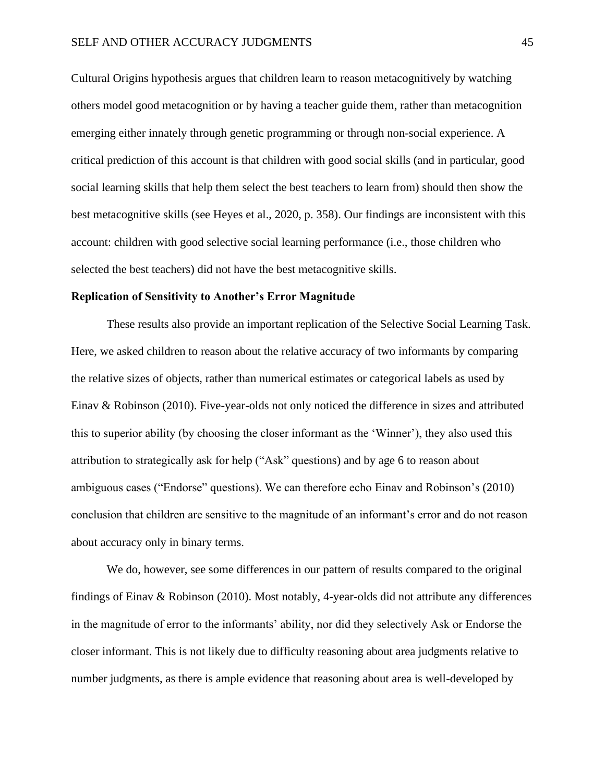Cultural Origins hypothesis argues that children learn to reason metacognitively by watching others model good metacognition or by having a teacher guide them, rather than metacognition emerging either innately through genetic programming or through non-social experience. A critical prediction of this account is that children with good social skills (and in particular, good social learning skills that help them select the best teachers to learn from) should then show the best metacognitive skills (see Heyes et al., 2020, p. 358). Our findings are inconsistent with this account: children with good selective social learning performance (i.e., those children who selected the best teachers) did not have the best metacognitive skills.

#### **Replication of Sensitivity to Another's Error Magnitude**

These results also provide an important replication of the Selective Social Learning Task. Here, we asked children to reason about the relative accuracy of two informants by comparing the relative sizes of objects, rather than numerical estimates or categorical labels as used by Einav & Robinson (2010). Five-year-olds not only noticed the difference in sizes and attributed this to superior ability (by choosing the closer informant as the 'Winner'), they also used this attribution to strategically ask for help ("Ask" questions) and by age 6 to reason about ambiguous cases ("Endorse" questions). We can therefore echo Einav and Robinson's (2010) conclusion that children are sensitive to the magnitude of an informant's error and do not reason about accuracy only in binary terms.

We do, however, see some differences in our pattern of results compared to the original findings of Einav & Robinson (2010). Most notably, 4-year-olds did not attribute any differences in the magnitude of error to the informants' ability, nor did they selectively Ask or Endorse the closer informant. This is not likely due to difficulty reasoning about area judgments relative to number judgments, as there is ample evidence that reasoning about area is well-developed by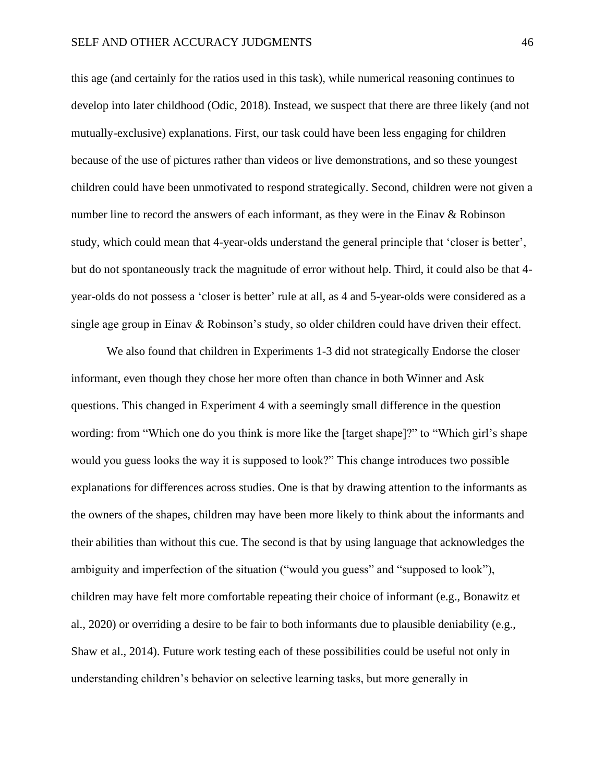this age (and certainly for the ratios used in this task), while numerical reasoning continues to develop into later childhood (Odic, 2018). Instead, we suspect that there are three likely (and not mutually-exclusive) explanations. First, our task could have been less engaging for children because of the use of pictures rather than videos or live demonstrations, and so these youngest children could have been unmotivated to respond strategically. Second, children were not given a number line to record the answers of each informant, as they were in the Einav & Robinson study, which could mean that 4-year-olds understand the general principle that 'closer is better', but do not spontaneously track the magnitude of error without help. Third, it could also be that 4 year-olds do not possess a 'closer is better' rule at all, as 4 and 5-year-olds were considered as a single age group in Einav & Robinson's study, so older children could have driven their effect.

We also found that children in Experiments 1-3 did not strategically Endorse the closer informant, even though they chose her more often than chance in both Winner and Ask questions. This changed in Experiment 4 with a seemingly small difference in the question wording: from "Which one do you think is more like the [target shape]?" to "Which girl's shape would you guess looks the way it is supposed to look?" This change introduces two possible explanations for differences across studies. One is that by drawing attention to the informants as the owners of the shapes, children may have been more likely to think about the informants and their abilities than without this cue. The second is that by using language that acknowledges the ambiguity and imperfection of the situation ("would you guess" and "supposed to look"), children may have felt more comfortable repeating their choice of informant (e.g., Bonawitz et al., 2020) or overriding a desire to be fair to both informants due to plausible deniability (e.g., Shaw et al., 2014). Future work testing each of these possibilities could be useful not only in understanding children's behavior on selective learning tasks, but more generally in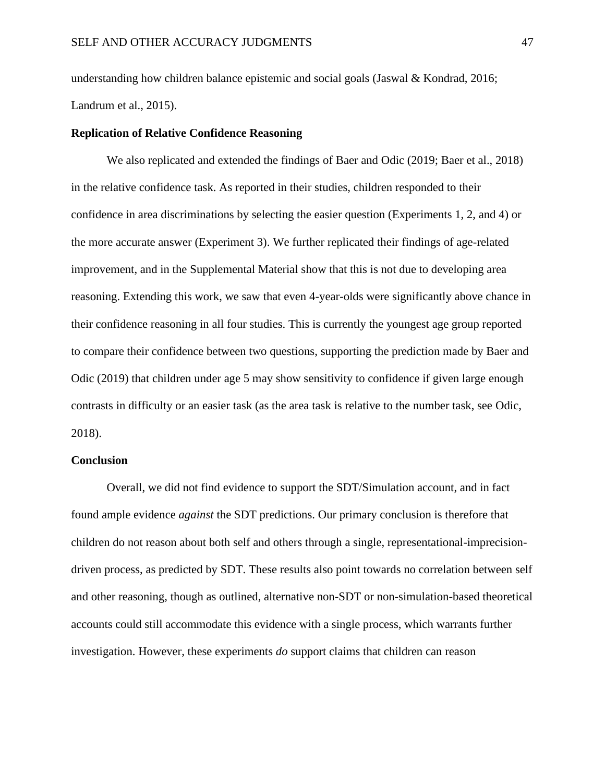understanding how children balance epistemic and social goals (Jaswal  $\&$  Kondrad, 2016; Landrum et al., 2015).

#### **Replication of Relative Confidence Reasoning**

We also replicated and extended the findings of Baer and Odic (2019; Baer et al., 2018) in the relative confidence task. As reported in their studies, children responded to their confidence in area discriminations by selecting the easier question (Experiments 1, 2, and 4) or the more accurate answer (Experiment 3). We further replicated their findings of age-related improvement, and in the Supplemental Material show that this is not due to developing area reasoning. Extending this work, we saw that even 4-year-olds were significantly above chance in their confidence reasoning in all four studies. This is currently the youngest age group reported to compare their confidence between two questions, supporting the prediction made by Baer and Odic (2019) that children under age 5 may show sensitivity to confidence if given large enough contrasts in difficulty or an easier task (as the area task is relative to the number task, see Odic, 2018).

#### **Conclusion**

Overall, we did not find evidence to support the SDT/Simulation account, and in fact found ample evidence *against* the SDT predictions. Our primary conclusion is therefore that children do not reason about both self and others through a single, representational-imprecisiondriven process, as predicted by SDT. These results also point towards no correlation between self and other reasoning, though as outlined, alternative non-SDT or non-simulation-based theoretical accounts could still accommodate this evidence with a single process, which warrants further investigation. However, these experiments *do* support claims that children can reason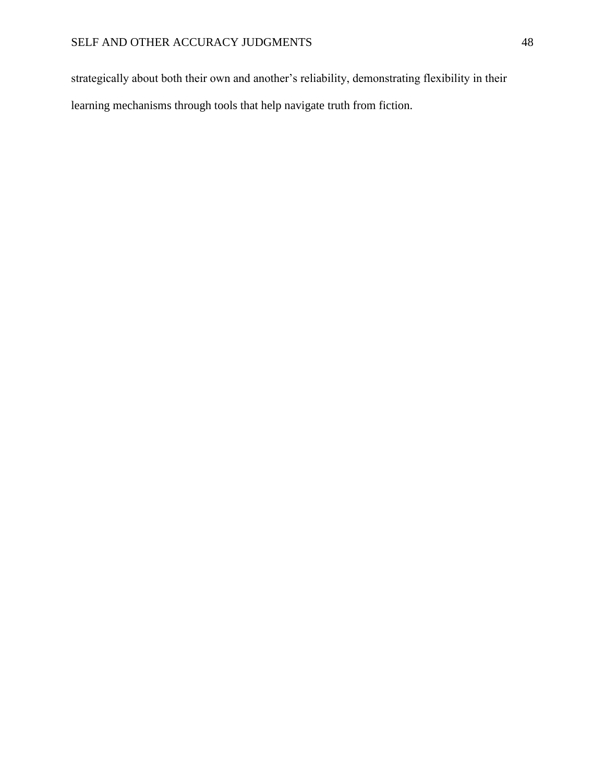strategically about both their own and another's reliability, demonstrating flexibility in their learning mechanisms through tools that help navigate truth from fiction.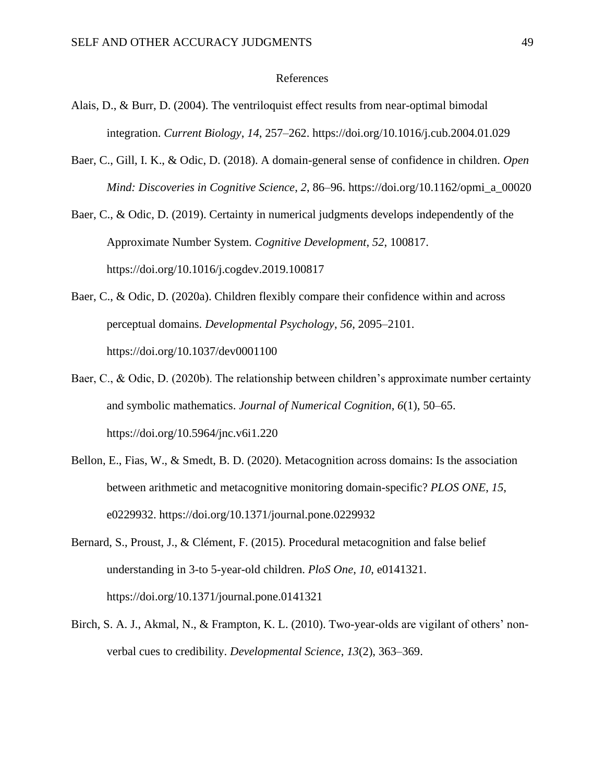#### References

- Alais, D., & Burr, D. (2004). The ventriloquist effect results from near-optimal bimodal integration. *Current Biology*, *14*, 257–262. https://doi.org/10.1016/j.cub.2004.01.029
- Baer, C., Gill, I. K., & Odic, D. (2018). A domain-general sense of confidence in children. *Open Mind: Discoveries in Cognitive Science*, *2*, 86–96. https://doi.org/10.1162/opmi\_a\_00020

Baer, C., & Odic, D. (2019). Certainty in numerical judgments develops independently of the Approximate Number System. *Cognitive Development*, *52*, 100817. https://doi.org/10.1016/j.cogdev.2019.100817

- Baer, C., & Odic, D. (2020a). Children flexibly compare their confidence within and across perceptual domains. *Developmental Psychology*, *56*, 2095–2101. https://doi.org/10.1037/dev0001100
- Baer, C., & Odic, D. (2020b). The relationship between children's approximate number certainty and symbolic mathematics. *Journal of Numerical Cognition*, *6*(1), 50–65. https://doi.org/10.5964/jnc.v6i1.220
- Bellon, E., Fias, W., & Smedt, B. D. (2020). Metacognition across domains: Is the association between arithmetic and metacognitive monitoring domain-specific? *PLOS ONE*, *15*, e0229932. https://doi.org/10.1371/journal.pone.0229932
- Bernard, S., Proust, J., & Clément, F. (2015). Procedural metacognition and false belief understanding in 3-to 5-year-old children. *PloS One*, *10*, e0141321. https://doi.org/10.1371/journal.pone.0141321
- Birch, S. A. J., Akmal, N., & Frampton, K. L. (2010). Two-year-olds are vigilant of others' nonverbal cues to credibility. *Developmental Science*, *13*(2), 363–369.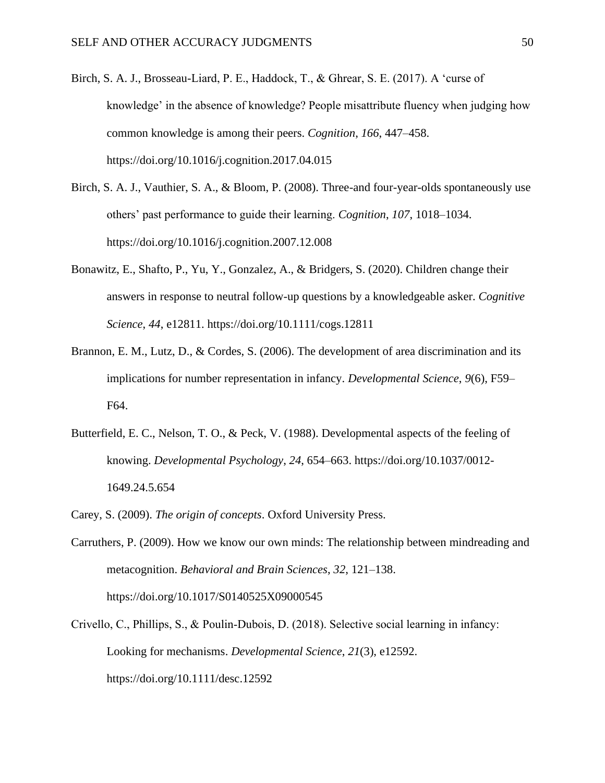- Birch, S. A. J., Brosseau-Liard, P. E., Haddock, T., & Ghrear, S. E. (2017). A 'curse of knowledge' in the absence of knowledge? People misattribute fluency when judging how common knowledge is among their peers. *Cognition*, *166*, 447–458. https://doi.org/10.1016/j.cognition.2017.04.015
- Birch, S. A. J., Vauthier, S. A., & Bloom, P. (2008). Three-and four-year-olds spontaneously use others' past performance to guide their learning. *Cognition*, *107*, 1018–1034. https://doi.org/10.1016/j.cognition.2007.12.008
- Bonawitz, E., Shafto, P., Yu, Y., Gonzalez, A., & Bridgers, S. (2020). Children change their answers in response to neutral follow-up questions by a knowledgeable asker. *Cognitive Science*, *44*, e12811. https://doi.org/10.1111/cogs.12811
- Brannon, E. M., Lutz, D., & Cordes, S. (2006). The development of area discrimination and its implications for number representation in infancy. *Developmental Science*, *9*(6), F59– F64.
- Butterfield, E. C., Nelson, T. O., & Peck, V. (1988). Developmental aspects of the feeling of knowing. *Developmental Psychology*, *24*, 654–663. https://doi.org/10.1037/0012- 1649.24.5.654
- Carey, S. (2009). *The origin of concepts*. Oxford University Press.
- Carruthers, P. (2009). How we know our own minds: The relationship between mindreading and metacognition. *Behavioral and Brain Sciences*, *32*, 121–138. https://doi.org/10.1017/S0140525X09000545
- Crivello, C., Phillips, S., & Poulin‐Dubois, D. (2018). Selective social learning in infancy: Looking for mechanisms. *Developmental Science*, *21*(3), e12592. https://doi.org/10.1111/desc.12592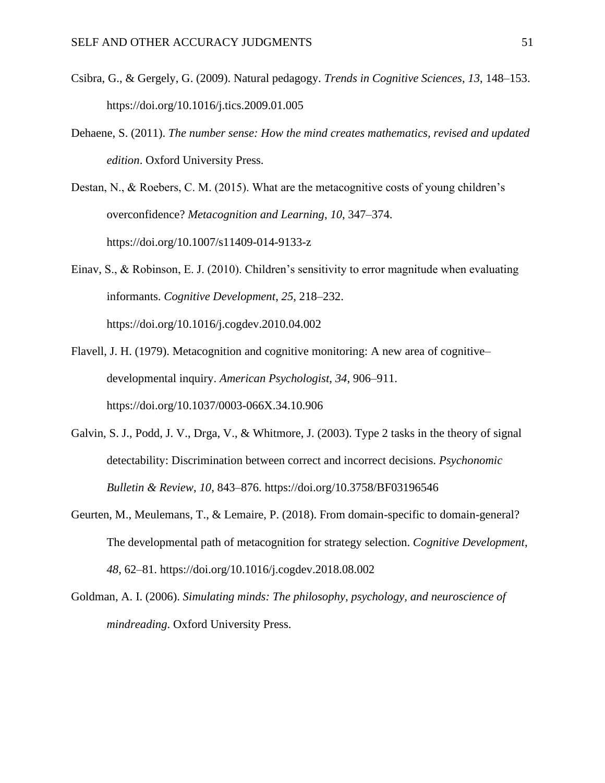- Csibra, G., & Gergely, G. (2009). Natural pedagogy. *Trends in Cognitive Sciences*, *13*, 148–153. https://doi.org/10.1016/j.tics.2009.01.005
- Dehaene, S. (2011). *The number sense: How the mind creates mathematics, revised and updated edition*. Oxford University Press.
- Destan, N., & Roebers, C. M. (2015). What are the metacognitive costs of young children's overconfidence? *Metacognition and Learning*, *10*, 347–374. https://doi.org/10.1007/s11409-014-9133-z
- Einav, S., & Robinson, E. J. (2010). Children's sensitivity to error magnitude when evaluating informants. *Cognitive Development*, *25*, 218–232. https://doi.org/10.1016/j.cogdev.2010.04.002
- Flavell, J. H. (1979). Metacognition and cognitive monitoring: A new area of cognitive– developmental inquiry. *American Psychologist*, *34*, 906–911. https://doi.org/10.1037/0003-066X.34.10.906
- Galvin, S. J., Podd, J. V., Drga, V., & Whitmore, J. (2003). Type 2 tasks in the theory of signal detectability: Discrimination between correct and incorrect decisions. *Psychonomic Bulletin & Review*, *10*, 843–876. https://doi.org/10.3758/BF03196546
- Geurten, M., Meulemans, T., & Lemaire, P. (2018). From domain-specific to domain-general? The developmental path of metacognition for strategy selection. *Cognitive Development*, *48*, 62–81. https://doi.org/10.1016/j.cogdev.2018.08.002
- Goldman, A. I. (2006). *Simulating minds: The philosophy, psychology, and neuroscience of mindreading*. Oxford University Press.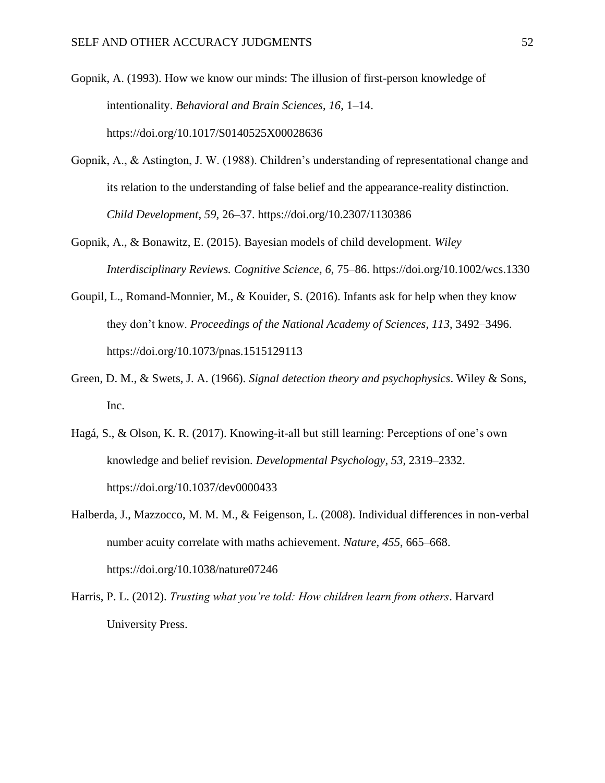Gopnik, A. (1993). How we know our minds: The illusion of first-person knowledge of intentionality. *Behavioral and Brain Sciences*, *16*, 1–14. https://doi.org/10.1017/S0140525X00028636

- Gopnik, A., & Astington, J. W. (1988). Children's understanding of representational change and its relation to the understanding of false belief and the appearance-reality distinction. *Child Development*, *59*, 26–37. https://doi.org/10.2307/1130386
- Gopnik, A., & Bonawitz, E. (2015). Bayesian models of child development. *Wiley Interdisciplinary Reviews. Cognitive Science*, *6*, 75–86. https://doi.org/10.1002/wcs.1330
- Goupil, L., Romand-Monnier, M., & Kouider, S. (2016). Infants ask for help when they know they don't know. *Proceedings of the National Academy of Sciences*, *113*, 3492–3496. https://doi.org/10.1073/pnas.1515129113
- Green, D. M., & Swets, J. A. (1966). *Signal detection theory and psychophysics*. Wiley & Sons, Inc.
- Hagá, S., & Olson, K. R. (2017). Knowing-it-all but still learning: Perceptions of one's own knowledge and belief revision. *Developmental Psychology*, *53*, 2319–2332. https://doi.org/10.1037/dev0000433
- Halberda, J., Mazzocco, M. M. M., & Feigenson, L. (2008). Individual differences in non-verbal number acuity correlate with maths achievement. *Nature*, *455*, 665–668. https://doi.org/10.1038/nature07246
- Harris, P. L. (2012). *Trusting what you're told: How children learn from others*. Harvard University Press.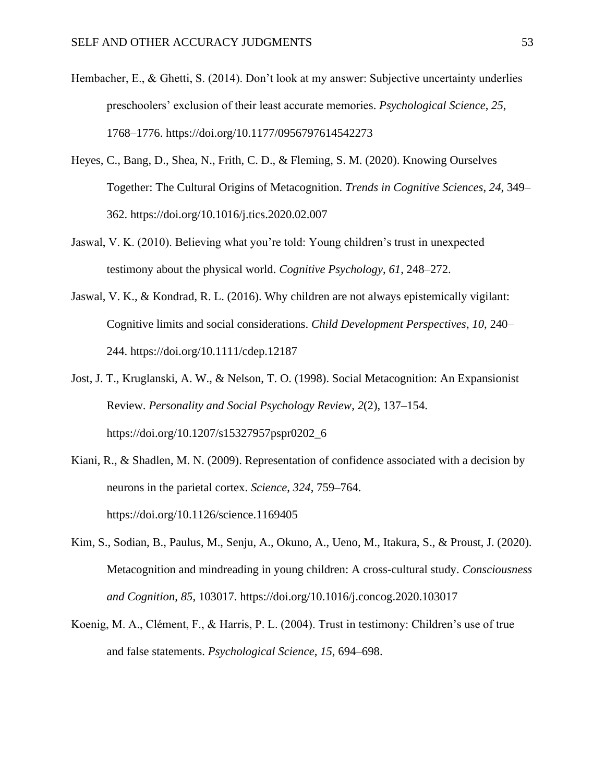- Hembacher, E., & Ghetti, S. (2014). Don't look at my answer: Subjective uncertainty underlies preschoolers' exclusion of their least accurate memories. *Psychological Science*, *25*, 1768–1776. https://doi.org/10.1177/0956797614542273
- Heyes, C., Bang, D., Shea, N., Frith, C. D., & Fleming, S. M. (2020). Knowing Ourselves Together: The Cultural Origins of Metacognition. *Trends in Cognitive Sciences*, *24*, 349– 362. https://doi.org/10.1016/j.tics.2020.02.007
- Jaswal, V. K. (2010). Believing what you're told: Young children's trust in unexpected testimony about the physical world. *Cognitive Psychology*, *61*, 248–272.
- Jaswal, V. K., & Kondrad, R. L. (2016). Why children are not always epistemically vigilant: Cognitive limits and social considerations. *Child Development Perspectives*, *10*, 240– 244. https://doi.org/10.1111/cdep.12187
- Jost, J. T., Kruglanski, A. W., & Nelson, T. O. (1998). Social Metacognition: An Expansionist Review. *Personality and Social Psychology Review*, *2*(2), 137–154. https://doi.org/10.1207/s15327957pspr0202\_6
- Kiani, R., & Shadlen, M. N. (2009). Representation of confidence associated with a decision by neurons in the parietal cortex. *Science*, *324*, 759–764. https://doi.org/10.1126/science.1169405
- Kim, S., Sodian, B., Paulus, M., Senju, A., Okuno, A., Ueno, M., Itakura, S., & Proust, J. (2020). Metacognition and mindreading in young children: A cross-cultural study. *Consciousness and Cognition*, *85*, 103017. https://doi.org/10.1016/j.concog.2020.103017
- Koenig, M. A., Clément, F., & Harris, P. L. (2004). Trust in testimony: Children's use of true and false statements. *Psychological Science*, *15*, 694–698.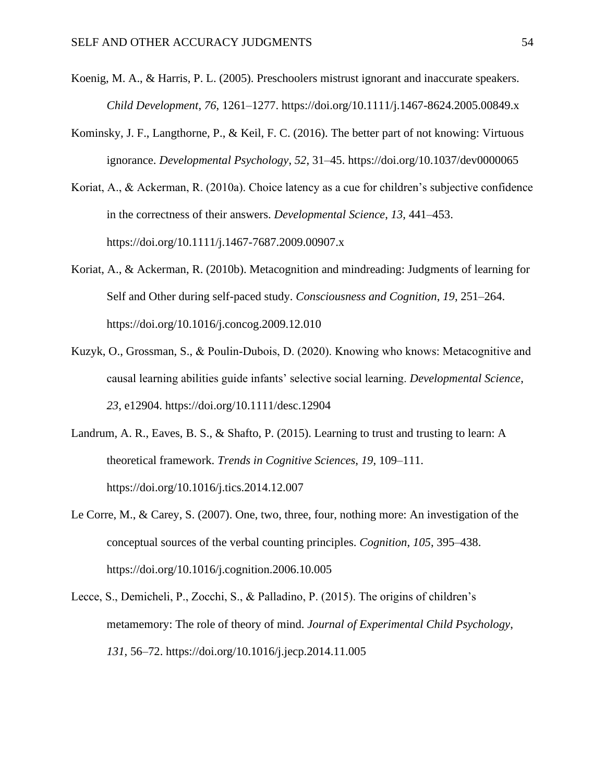- Koenig, M. A., & Harris, P. L. (2005). Preschoolers mistrust ignorant and inaccurate speakers. *Child Development*, *76*, 1261–1277. https://doi.org/10.1111/j.1467-8624.2005.00849.x
- Kominsky, J. F., Langthorne, P., & Keil, F. C. (2016). The better part of not knowing: Virtuous ignorance. *Developmental Psychology*, *52*, 31–45. https://doi.org/10.1037/dev0000065
- Koriat, A., & Ackerman, R. (2010a). Choice latency as a cue for children's subjective confidence in the correctness of their answers. *Developmental Science*, *13*, 441–453. https://doi.org/10.1111/j.1467-7687.2009.00907.x
- Koriat, A., & Ackerman, R. (2010b). Metacognition and mindreading: Judgments of learning for Self and Other during self-paced study. *Consciousness and Cognition*, *19*, 251–264. https://doi.org/10.1016/j.concog.2009.12.010
- Kuzyk, O., Grossman, S., & Poulin‐Dubois, D. (2020). Knowing who knows: Metacognitive and causal learning abilities guide infants' selective social learning. *Developmental Science*, *23*, e12904. https://doi.org/10.1111/desc.12904
- Landrum, A. R., Eaves, B. S., & Shafto, P. (2015). Learning to trust and trusting to learn: A theoretical framework. *Trends in Cognitive Sciences*, *19*, 109–111. https://doi.org/10.1016/j.tics.2014.12.007
- Le Corre, M., & Carey, S. (2007). One, two, three, four, nothing more: An investigation of the conceptual sources of the verbal counting principles. *Cognition*, *105*, 395–438. https://doi.org/10.1016/j.cognition.2006.10.005
- Lecce, S., Demicheli, P., Zocchi, S., & Palladino, P. (2015). The origins of children's metamemory: The role of theory of mind. *Journal of Experimental Child Psychology*, *131*, 56–72. https://doi.org/10.1016/j.jecp.2014.11.005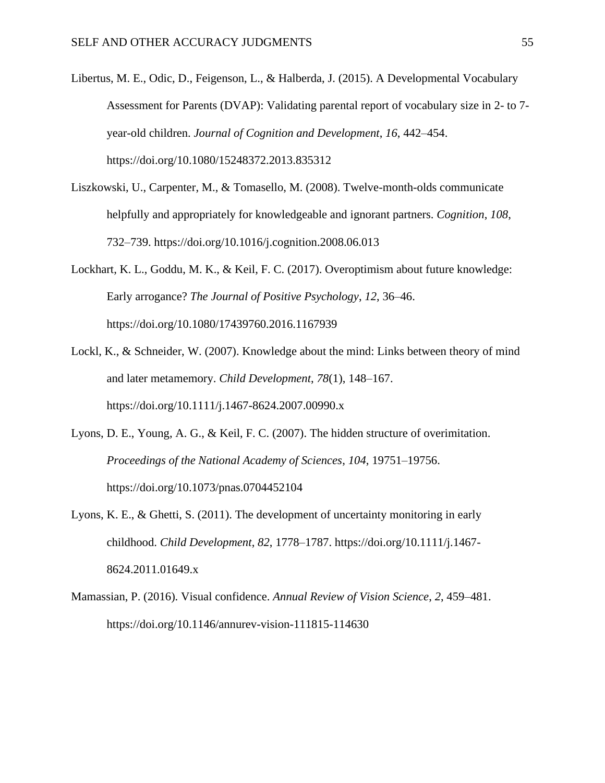Libertus, M. E., Odic, D., Feigenson, L., & Halberda, J. (2015). A Developmental Vocabulary Assessment for Parents (DVAP): Validating parental report of vocabulary size in 2- to 7 year-old children. *Journal of Cognition and Development*, *16*, 442–454. https://doi.org/10.1080/15248372.2013.835312

Liszkowski, U., Carpenter, M., & Tomasello, M. (2008). Twelve-month-olds communicate helpfully and appropriately for knowledgeable and ignorant partners. *Cognition*, *108*, 732–739. https://doi.org/10.1016/j.cognition.2008.06.013

Lockhart, K. L., Goddu, M. K., & Keil, F. C. (2017). Overoptimism about future knowledge: Early arrogance? *The Journal of Positive Psychology*, *12*, 36–46. https://doi.org/10.1080/17439760.2016.1167939

- Lockl, K., & Schneider, W. (2007). Knowledge about the mind: Links between theory of mind and later metamemory. *Child Development*, *78*(1), 148–167. https://doi.org/10.1111/j.1467-8624.2007.00990.x
- Lyons, D. E., Young, A. G., & Keil, F. C. (2007). The hidden structure of overimitation. *Proceedings of the National Academy of Sciences*, *104*, 19751–19756. https://doi.org/10.1073/pnas.0704452104
- Lyons, K. E., & Ghetti, S. (2011). The development of uncertainty monitoring in early childhood. *Child Development*, *82*, 1778–1787. https://doi.org/10.1111/j.1467- 8624.2011.01649.x
- Mamassian, P. (2016). Visual confidence. *Annual Review of Vision Science*, *2*, 459–481. https://doi.org/10.1146/annurev-vision-111815-114630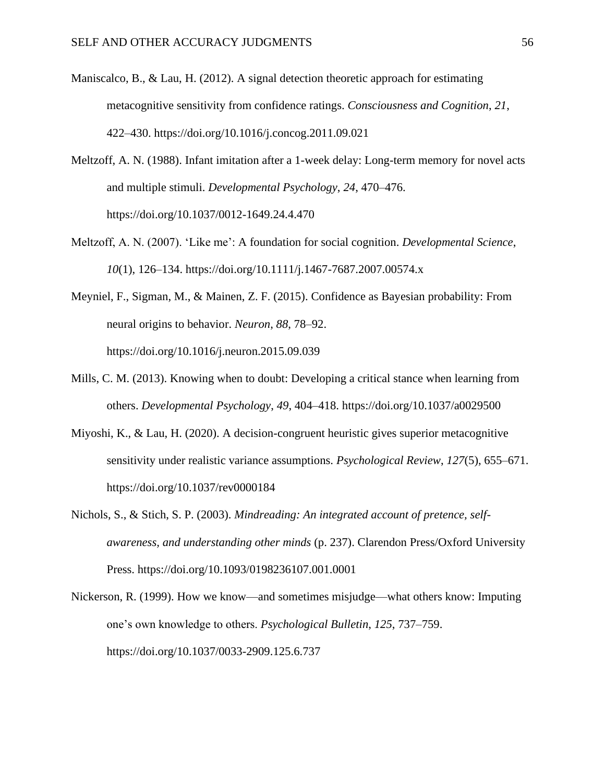- Maniscalco, B., & Lau, H. (2012). A signal detection theoretic approach for estimating metacognitive sensitivity from confidence ratings. *Consciousness and Cognition*, *21*, 422–430. https://doi.org/10.1016/j.concog.2011.09.021
- Meltzoff, A. N. (1988). Infant imitation after a 1-week delay: Long-term memory for novel acts and multiple stimuli. *Developmental Psychology*, *24*, 470–476. https://doi.org/10.1037/0012-1649.24.4.470
- Meltzoff, A. N. (2007). 'Like me': A foundation for social cognition. *Developmental Science*, *10*(1), 126–134. https://doi.org/10.1111/j.1467-7687.2007.00574.x
- Meyniel, F., Sigman, M., & Mainen, Z. F. (2015). Confidence as Bayesian probability: From neural origins to behavior. *Neuron*, *88*, 78–92. https://doi.org/10.1016/j.neuron.2015.09.039
- Mills, C. M. (2013). Knowing when to doubt: Developing a critical stance when learning from others. *Developmental Psychology*, *49*, 404–418. https://doi.org/10.1037/a0029500
- Miyoshi, K., & Lau, H. (2020). A decision-congruent heuristic gives superior metacognitive sensitivity under realistic variance assumptions. *Psychological Review*, *127*(5), 655–671. https://doi.org/10.1037/rev0000184
- Nichols, S., & Stich, S. P. (2003). *Mindreading: An integrated account of pretence, selfawareness, and understanding other minds* (p. 237). Clarendon Press/Oxford University Press. https://doi.org/10.1093/0198236107.001.0001
- Nickerson, R. (1999). How we know—and sometimes misjudge—what others know: Imputing one's own knowledge to others. *Psychological Bulletin*, *125*, 737–759. https://doi.org/10.1037/0033-2909.125.6.737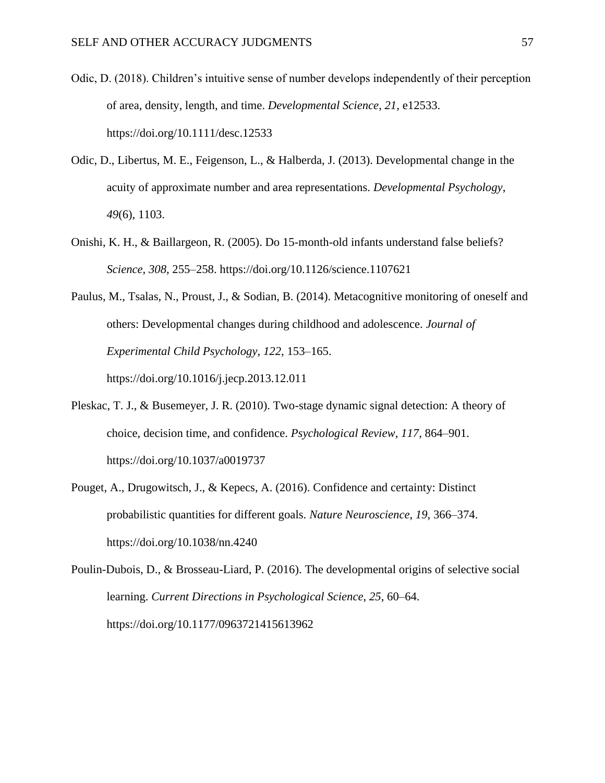- Odic, D. (2018). Children's intuitive sense of number develops independently of their perception of area, density, length, and time. *Developmental Science*, *21*, e12533. https://doi.org/10.1111/desc.12533
- Odic, D., Libertus, M. E., Feigenson, L., & Halberda, J. (2013). Developmental change in the acuity of approximate number and area representations. *Developmental Psychology*, *49*(6), 1103.
- Onishi, K. H., & Baillargeon, R. (2005). Do 15-month-old infants understand false beliefs? *Science*, *308*, 255–258. https://doi.org/10.1126/science.1107621
- Paulus, M., Tsalas, N., Proust, J., & Sodian, B. (2014). Metacognitive monitoring of oneself and others: Developmental changes during childhood and adolescence. *Journal of Experimental Child Psychology*, *122*, 153–165. https://doi.org/10.1016/j.jecp.2013.12.011
- Pleskac, T. J., & Busemeyer, J. R. (2010). Two-stage dynamic signal detection: A theory of choice, decision time, and confidence. *Psychological Review*, *117*, 864–901. https://doi.org/10.1037/a0019737
- Pouget, A., Drugowitsch, J., & Kepecs, A. (2016). Confidence and certainty: Distinct probabilistic quantities for different goals. *Nature Neuroscience*, *19*, 366–374. https://doi.org/10.1038/nn.4240

Poulin-Dubois, D., & Brosseau-Liard, P. (2016). The developmental origins of selective social learning. *Current Directions in Psychological Science*, *25*, 60–64. https://doi.org/10.1177/0963721415613962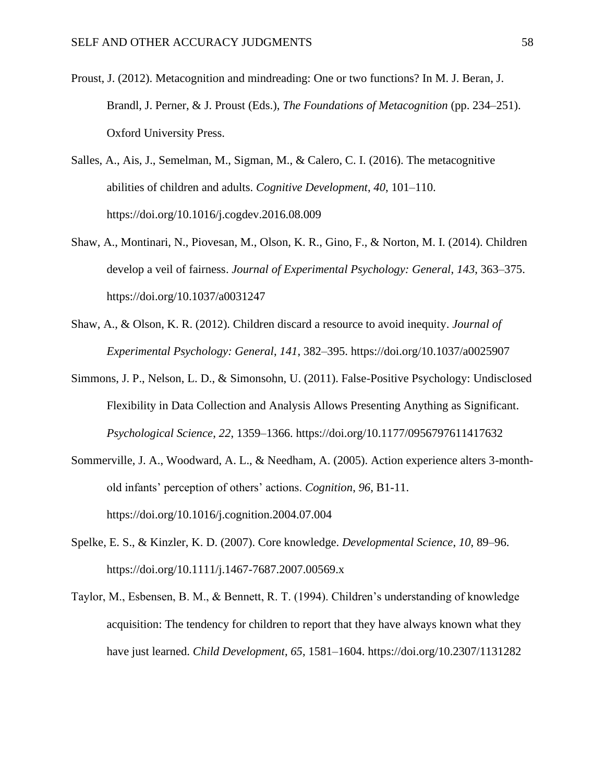- Proust, J. (2012). Metacognition and mindreading: One or two functions? In M. J. Beran, J. Brandl, J. Perner, & J. Proust (Eds.), *The Foundations of Metacognition* (pp. 234–251). Oxford University Press.
- Salles, A., Ais, J., Semelman, M., Sigman, M., & Calero, C. I. (2016). The metacognitive abilities of children and adults. *Cognitive Development*, *40*, 101–110. https://doi.org/10.1016/j.cogdev.2016.08.009
- Shaw, A., Montinari, N., Piovesan, M., Olson, K. R., Gino, F., & Norton, M. I. (2014). Children develop a veil of fairness. *Journal of Experimental Psychology: General*, *143*, 363–375. https://doi.org/10.1037/a0031247
- Shaw, A., & Olson, K. R. (2012). Children discard a resource to avoid inequity. *Journal of Experimental Psychology: General*, *141*, 382–395. https://doi.org/10.1037/a0025907
- Simmons, J. P., Nelson, L. D., & Simonsohn, U. (2011). False-Positive Psychology: Undisclosed Flexibility in Data Collection and Analysis Allows Presenting Anything as Significant. *Psychological Science*, *22*, 1359–1366. https://doi.org/10.1177/0956797611417632
- Sommerville, J. A., Woodward, A. L., & Needham, A. (2005). Action experience alters 3-monthold infants' perception of others' actions. *Cognition*, *96*, B1-11. https://doi.org/10.1016/j.cognition.2004.07.004
- Spelke, E. S., & Kinzler, K. D. (2007). Core knowledge. *Developmental Science*, *10*, 89–96. https://doi.org/10.1111/j.1467-7687.2007.00569.x
- Taylor, M., Esbensen, B. M., & Bennett, R. T. (1994). Children's understanding of knowledge acquisition: The tendency for children to report that they have always known what they have just learned. *Child Development*, *65*, 1581–1604. https://doi.org/10.2307/1131282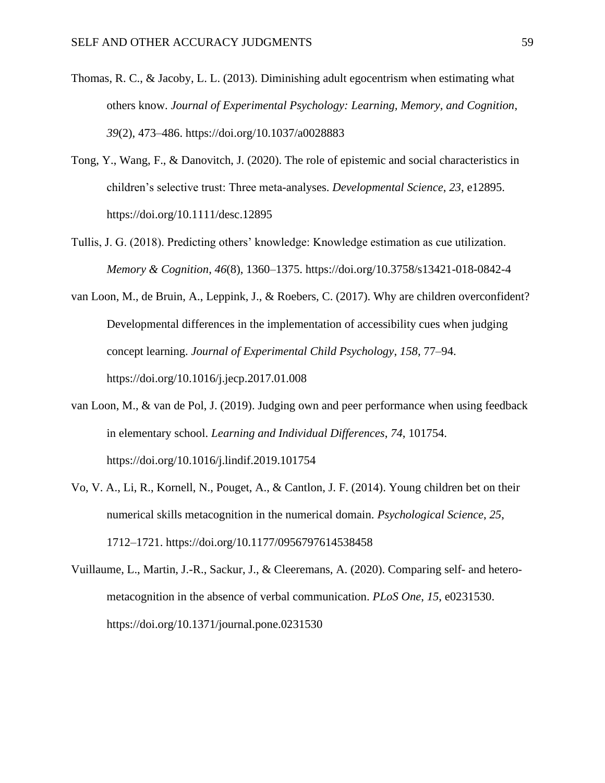- Thomas, R. C., & Jacoby, L. L. (2013). Diminishing adult egocentrism when estimating what others know. *Journal of Experimental Psychology: Learning, Memory, and Cognition*, *39*(2), 473–486. https://doi.org/10.1037/a0028883
- Tong, Y., Wang, F., & Danovitch, J. (2020). The role of epistemic and social characteristics in children's selective trust: Three meta-analyses. *Developmental Science*, *23*, e12895. https://doi.org/10.1111/desc.12895
- Tullis, J. G. (2018). Predicting others' knowledge: Knowledge estimation as cue utilization. *Memory & Cognition*, *46*(8), 1360–1375. https://doi.org/10.3758/s13421-018-0842-4
- van Loon, M., de Bruin, A., Leppink, J., & Roebers, C. (2017). Why are children overconfident? Developmental differences in the implementation of accessibility cues when judging concept learning. *Journal of Experimental Child Psychology*, *158*, 77–94. https://doi.org/10.1016/j.jecp.2017.01.008
- van Loon, M., & van de Pol, J. (2019). Judging own and peer performance when using feedback in elementary school. *Learning and Individual Differences*, *74*, 101754. https://doi.org/10.1016/j.lindif.2019.101754
- Vo, V. A., Li, R., Kornell, N., Pouget, A., & Cantlon, J. F. (2014). Young children bet on their numerical skills metacognition in the numerical domain. *Psychological Science*, *25*, 1712–1721. https://doi.org/10.1177/0956797614538458
- Vuillaume, L., Martin, J.-R., Sackur, J., & Cleeremans, A. (2020). Comparing self- and heterometacognition in the absence of verbal communication. *PLoS One*, *15*, e0231530. https://doi.org/10.1371/journal.pone.0231530